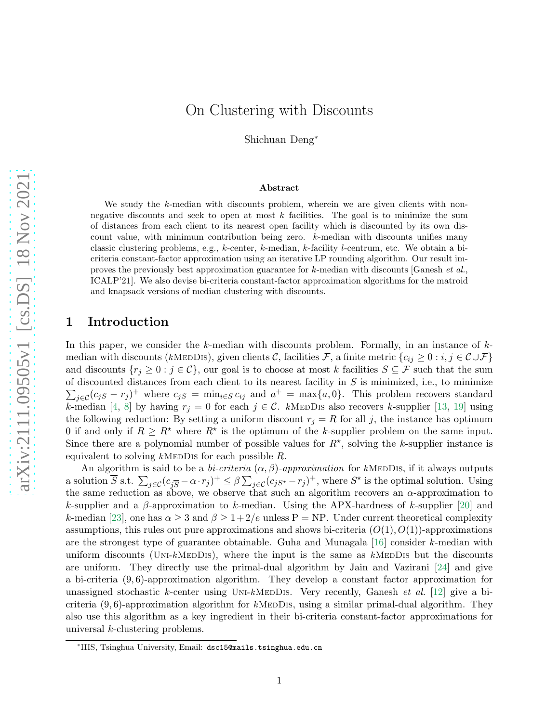Shichuan Deng<sup>∗</sup>

#### Abstract

We study the k-median with discounts problem, wherein we are given clients with nonnegative discounts and seek to open at most  $k$  facilities. The goal is to minimize the sum of distances from each client to its nearest open facility which is discounted by its own discount value, with minimum contribution being zero.  $k$ -median with discounts unifies many classic clustering problems, e.g., k-center, k-median, k-facility l-centrum, etc. We obtain a bicriteria constant-factor approximation using an iterative LP rounding algorithm. Our result improves the previously best approximation guarantee for  $k$ -median with discounts [Ganesh *et al.*, ICALP'21]. We also devise bi-criteria constant-factor approximation algorithms for the matroid and knapsack versions of median clustering with discounts.

# 1 Introduction

In this paper, we consider the  $k$ -median with discounts problem. Formally, in an instance of  $k$ median with discounts (kMeDDIS), given clients C, facilities F, a finite metric  ${c_{ij} \geq 0 : i,j \in \mathcal{C} \cup \mathcal{F}}$ and discounts  $\{r_j \geq 0 : j \in \mathcal{C}\}$ , our goal is to choose at most k facilities  $S \subseteq \mathcal{F}$  such that the sum of discounted distances from each client to its nearest facility in  $S$  is minimized, i.e., to minimize  $\sum_{j\in\mathcal{C}}(c_{jS}-r_j)^+$  where  $c_{jS}=\min_{i\in S}c_{ij}$  and  $a^+=\max\{a,0\}$ . This problem recovers standard k-median [\[4,](#page-16-0) [8\]](#page-17-0) by having  $r_j = 0$  for each  $j \in \mathcal{C}$ . kMEDDIS also recovers k-supplier [\[13,](#page-17-1) [19\]](#page-17-2) using the following reduction: By setting a uniform discount  $r_j = R$  for all j, the instance has optimum 0 if and only if  $R \geq R^*$  where  $R^*$  is the optimum of the k-supplier problem on the same input. Since there are a polynomial number of possible values for  $R^*$ , solving the k-supplier instance is equivalent to solving  $k$ MEDDIS for each possible  $R$ .

An algorithm is said to be a bi-criteria  $(\alpha, \beta)$ -approximation for kMEDDIS, if it always outputs a solution  $\overline{S}$  s.t.  $\sum_{j\in\mathcal{C}}(c_{j\overline{S}}-\alpha\cdot r_j)^+\leq\beta\sum_{j\in\mathcal{C}}(c_{jS^{\star}}-r_j)^+$ , where  $S^{\star}$  is the optimal solution. Using the same reduction as above, we observe that such an algorithm recovers an  $\alpha$ -approximation to k-supplier and a  $\beta$ -approximation to k-median. Using the APX-hardness of k-supplier [\[20\]](#page-17-3) and k-median [\[23\]](#page-18-0), one has  $\alpha \geq 3$  and  $\beta \geq 1+2/e$  unless P = NP. Under current theoretical complexity assumptions, this rules out pure approximations and shows bi-criteria  $(O(1), O(1))$ -approximations are the strongest type of guarantee obtainable. Guha and Munagala  $[16]$  consider k-median with uniform discounts (UNI-kMEDDIS), where the input is the same as  $k$ MEDDIS but the discounts are uniform. They directly use the primal-dual algorithm by Jain and Vazirani [\[24\]](#page-18-1) and give a bi-criteria  $(9, 6)$ -approximation algorithm. They develop a constant factor approximation for unassigned stochastic k-center using UNI-kMEDDIS. Very recently, Ganesh et al. [\[12\]](#page-17-5) give a bicriteria  $(9, 6)$ -approximation algorithm for kMeDDIs, using a similar primal-dual algorithm. They also use this algorithm as a key ingredient in their bi-criteria constant-factor approximations for universal k-clustering problems.

<sup>∗</sup> IIIS, Tsinghua University, Email: dsc15@mails.tsinghua.edu.cn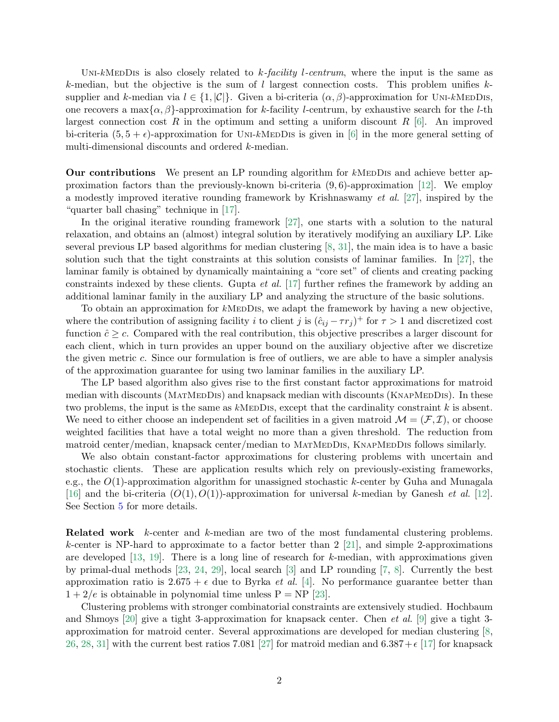UNI-kMEDDIS is also closely related to k-facility l-centrum, where the input is the same as k-median, but the objective is the sum of l largest connection costs. This problem unifies  $k$ supplier and k-median via  $l \in \{1, |\mathcal{C}|\}$ . Given a bi-criteria  $(\alpha, \beta)$ -approximation for UNI-kMEDDIS, one recovers a max $\{\alpha, \beta\}$ -approximation for k-facility l-centrum, by exhaustive search for the l-th largest connection cost R in the optimum and setting a uniform discount R  $[6]$ . An improved bi-criteria  $(5, 5 + \epsilon)$ -approximation for UNI-kMEDDIs is given in [\[6\]](#page-16-1) in the more general setting of multi-dimensional discounts and ordered k-median.

**Our contributions** We present an LP rounding algorithm for  $k$ MEDDIs and achieve better approximation factors than the previously-known bi-criteria  $(9, 6)$ -approximation [\[12\]](#page-17-5). We employ a modestly improved iterative rounding framework by Krishnaswamy et al. [\[27\]](#page-18-2), inspired by the "quarter ball chasing" technique in [\[17\]](#page-17-6).

In the original iterative rounding framework [\[27\]](#page-18-2), one starts with a solution to the natural relaxation, and obtains an (almost) integral solution by iteratively modifying an auxiliary LP. Like several previous LP based algorithms for median clustering [\[8,](#page-17-0) [31\]](#page-18-3), the main idea is to have a basic solution such that the tight constraints at this solution consists of laminar families. In [\[27\]](#page-18-2), the laminar family is obtained by dynamically maintaining a "core set" of clients and creating packing constraints indexed by these clients. Gupta *et al.* [\[17\]](#page-17-6) further refines the framework by adding an additional laminar family in the auxiliary LP and analyzing the structure of the basic solutions.

To obtain an approximation for kMEDDIS, we adapt the framework by having a new objective. where the contribution of assigning facility i to client j is  $(\hat{c}_{ij} - \tau r_j)^+$  for  $\tau > 1$  and discretized cost function  $\hat{c} \geq c$ . Compared with the real contribution, this objective prescribes a larger discount for each client, which in turn provides an upper bound on the auxiliary objective after we discretize the given metric c. Since our formulation is free of outliers, we are able to have a simpler analysis of the approximation guarantee for using two laminar families in the auxiliary LP.

The LP based algorithm also gives rise to the first constant factor approximations for matroid median with discounts (MATMEDDIS) and knapsack median with discounts (KNAPMEDDIS). In these two problems, the input is the same as  $k$ MEDDIS, except that the cardinality constraint k is absent. We need to either choose an independent set of facilities in a given matroid  $\mathcal{M} = (\mathcal{F}, \mathcal{I})$ , or choose weighted facilities that have a total weight no more than a given threshold. The reduction from matroid center/median, knapsack center/median to MATMEDDIS, KNAPMEDDIS follows similarly.

We also obtain constant-factor approximations for clustering problems with uncertain and stochastic clients. These are application results which rely on previously-existing frameworks, e.g., the  $O(1)$ -approximation algorithm for unassigned stochastic k-center by Guha and Munagala [\[16\]](#page-17-4) and the bi-criteria  $(O(1), O(1))$ -approximation for universal k-median by Ganesh *et al.* [\[12\]](#page-17-5). See Section [5](#page-12-0) for more details.

Related work k-center and k-median are two of the most fundamental clustering problems. k-center is NP-hard to approximate to a factor better than  $2$  [\[21\]](#page-17-7), and simple 2-approximations are developed [\[13,](#page-17-1) [19\]](#page-17-2). There is a long line of research for k-median, with approximations given by primal-dual methods [\[23,](#page-18-0) [24,](#page-18-1) [29\]](#page-18-4), local search [\[3\]](#page-16-2) and LP rounding [\[7,](#page-16-3) [8\]](#page-17-0). Currently the best approximation ratio is  $2.675 + \epsilon$  due to Byrka *et al.* [\[4\]](#page-16-0). No performance guarantee better than  $1 + 2/e$  is obtainable in polynomial time unless  $P = NP$  [\[23\]](#page-18-0).

Clustering problems with stronger combinatorial constraints are extensively studied. Hochbaum and Shmoys [\[20\]](#page-17-3) give a tight 3-approximation for knapsack center. Chen *et al.* [\[9\]](#page-17-8) give a tight 3approximation for matroid center. Several approximations are developed for median clustering [\[8,](#page-17-0) [26,](#page-18-5) [28,](#page-18-6) [31\]](#page-18-3) with the current best ratios 7.081 [\[27\]](#page-18-2) for matroid median and  $6.387+\epsilon$  [\[17\]](#page-17-6) for knapsack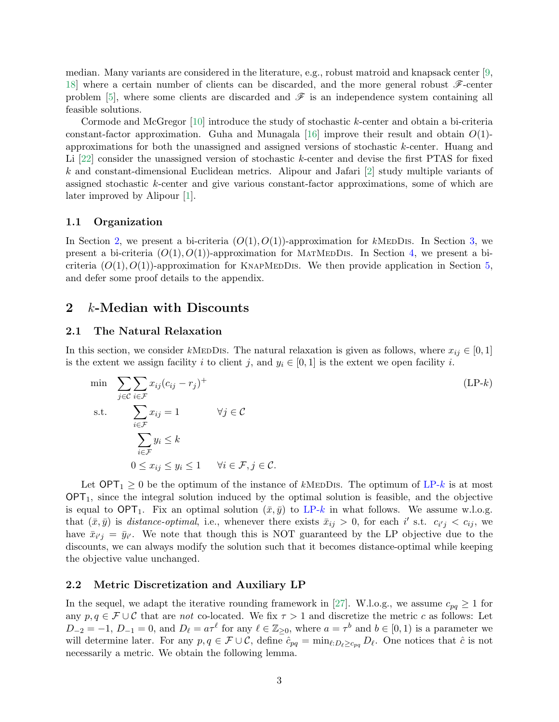median. Many variants are considered in the literature, e.g., robust matroid and knapsack center [\[9,](#page-17-8) [18\]](#page-17-9) where a certain number of clients can be discarded, and the more general robust  $\mathscr{F}\text{-center}$ problem [\[5\]](#page-16-4), where some clients are discarded and  $\mathscr F$  is an independence system containing all feasible solutions.

Cormode and McGregor [\[10\]](#page-17-10) introduce the study of stochastic k-center and obtain a bi-criteria constant-factor approximation. Guha and Munagala [\[16\]](#page-17-4) improve their result and obtain  $O(1)$ approximations for both the unassigned and assigned versions of stochastic k-center. Huang and Li [\[22\]](#page-18-7) consider the unassigned version of stochastic k-center and devise the first PTAS for fixed k and constant-dimensional Euclidean metrics. Alipour and Jafari [\[2\]](#page-16-5) study multiple variants of assigned stochastic k-center and give various constant-factor approximations, some of which are later improved by Alipour [\[1\]](#page-16-6).

### 1.1 Organization

In Section [2,](#page-2-0) we present a bi-criteria  $(O(1), O(1))$ -approximation for kMEDDIS. In Section [3,](#page-6-0) we present a bi-criteria  $(O(1), O(1))$ -approximation for MATMEDDIS. In Section [4,](#page-7-0) we present a bicriteria  $(O(1), O(1))$ -approximation for KNAPMEDDIS. We then provide application in Section [5,](#page-12-0) and defer some proof details to the appendix.

## <span id="page-2-0"></span>2 k-Median with Discounts

### 2.1 The Natural Relaxation

In this section, we consider kMEDDIS. The natural relaxation is given as follows, where  $x_{ij} \in [0,1]$ is the extent we assign facility i to client j, and  $y_i \in [0, 1]$  is the extent we open facility i.

<span id="page-2-1"></span>min 
$$
\sum_{j \in \mathcal{C}} \sum_{i \in \mathcal{F}} x_{ij} (c_{ij} - r_j)^+
$$
  
s.t. 
$$
\sum_{i \in \mathcal{F}} x_{ij} = 1 \qquad \forall j \in \mathcal{C}
$$

$$
\sum_{i \in \mathcal{F}} y_i \le k
$$

$$
0 \le x_{ij} \le y_i \le 1 \qquad \forall i \in \mathcal{F}, j \in \mathcal{C}.
$$
 (LP-*k*)

Let  $OPT_1 \geq 0$  be the optimum of the instance of kMEDDIS. The optimum of [LP-](#page-2-1)k is at most  $OPT_1$ , since the integral solution induced by the optimal solution is feasible, and the objective is equal to  $\text{OPT}_1$ . Fix an optimal solution  $(\bar{x}, \bar{y})$  to [LP-](#page-2-1)k in what follows. We assume w.l.o.g. that  $(\bar{x}, \bar{y})$  is *distance-optimal*, i.e., whenever there exists  $\bar{x}_{ij} > 0$ , for each i' s.t.  $c_{i'j} < c_{ij}$ , we have  $\bar{x}_{i'j} = \bar{y}_{i'}$ . We note that though this is NOT guaranteed by the LP objective due to the discounts, we can always modify the solution such that it becomes distance-optimal while keeping the objective value unchanged.

### 2.2 Metric Discretization and Auxiliary LP

<span id="page-2-2"></span>In the sequel, we adapt the iterative rounding framework in [\[27\]](#page-18-2). W.l.o.g., we assume  $c_{pq} \geq 1$  for any  $p, q \in \mathcal{F} \cup \mathcal{C}$  that are not co-located. We fix  $\tau > 1$  and discretize the metric c as follows: Let  $D_{-2} = -1, D_{-1} = 0$ , and  $D_{\ell} = a\tau^{\ell}$  for any  $\ell \in \mathbb{Z}_{\geq 0}$ , where  $a = \tau^b$  and  $b \in [0, 1)$  is a parameter we will determine later. For any  $p, q \in \mathcal{F} \cup \mathcal{C}$ , define  $\hat{c}_{pq} = \min_{\ell : D_{\ell} \geq c_{pq}} D_{\ell}$ . One notices that  $\hat{c}$  is not necessarily a metric. We obtain the following lemma.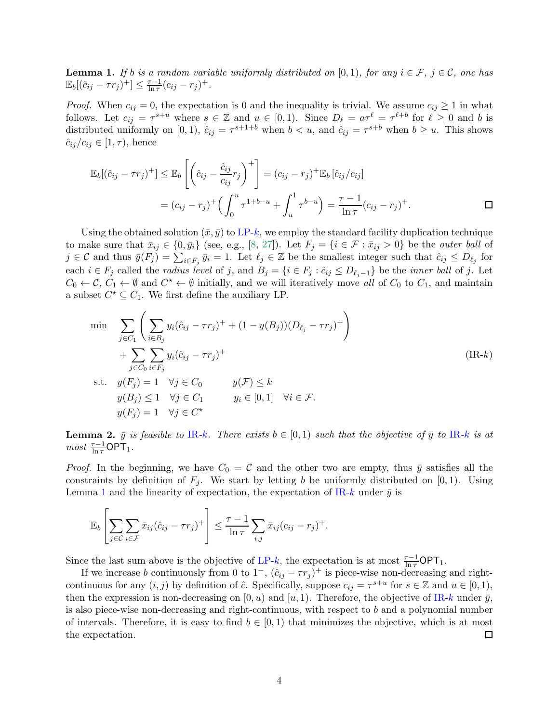**Lemma 1.** If b is a random variable uniformly distributed on [0, 1), for any  $i \in \mathcal{F}$ ,  $j \in \mathcal{C}$ , one has  $\mathbb{E}_b[(\hat{c}_{ij} - \tau r_j)^+] \leq \frac{\tau - 1}{\ln \tau}$  $\frac{\tau-1}{\ln \tau} (c_{ij} - r_j)^+$ .

*Proof.* When  $c_{ij} = 0$ , the expectation is 0 and the inequality is trivial. We assume  $c_{ij} \ge 1$  in what follows. Let  $c_{ij} = \tau^{s+u}$  where  $s \in \mathbb{Z}$  and  $u \in [0,1)$ . Since  $D_{\ell} = a\tau^{\ell} = \tau^{\ell+b}$  for  $\ell \geq 0$  and b is distributed uniformly on [0, 1),  $\hat{c}_{ij} = \tau^{s+1+b}$  when  $b < u$ , and  $\hat{c}_{ij} = \tau^{s+b}$  when  $b \geq u$ . This shows  $\hat{c}_{ij}/c_{ij} \in [1, \tau)$ , hence

$$
\mathbb{E}_{b}[(\hat{c}_{ij} - \tau r_{j})^{+}] \leq \mathbb{E}_{b} \left[ \left( \hat{c}_{ij} - \frac{\hat{c}_{ij}}{c_{ij}} r_{j} \right)^{+} \right] = (c_{ij} - r_{j})^{+} \mathbb{E}_{b} [\hat{c}_{ij}/c_{ij}]
$$
\n
$$
= (c_{ij} - r_{j})^{+} \left( \int_{0}^{u} \tau^{1+b-u} + \int_{u}^{1} \tau^{b-u} \right) = \frac{\tau - 1}{\ln \tau} (c_{ij} - r_{j})^{+}.
$$

Using the obtained solution  $(\bar{x}, \bar{y})$  to [LP-](#page-2-1)k, we employ the standard facility duplication technique to make sure that  $\bar{x}_{ij} \in \{0, \bar{y}_i\}$  (see, e.g., [\[8,](#page-17-0) [27\]](#page-18-2)). Let  $F_j = \{i \in \mathcal{F} : \bar{x}_{ij} > 0\}$  be the *outer ball* of  $j \in \mathcal{C}$  and thus  $\bar{y}(F_j) = \sum_{i \in F_j} \bar{y}_i = 1$ . Let  $\ell_j \in \mathbb{Z}$  be the smallest integer such that  $\hat{c}_{ij} \leq D_{\ell_j}$  for each  $i \in F_j$  called the *radius level* of j, and  $B_j = \{i \in F_j : \hat{c}_{ij} \leq D_{\ell_j-1}\}\$  be the *inner ball* of j. Let  $C_0 \leftarrow C$ ,  $C_1 \leftarrow \emptyset$  and  $C^* \leftarrow \emptyset$  initially, and we will iteratively move all of  $C_0$  to  $C_1$ , and maintain a subset  $C^* \subseteq C_1$ . We first define the auxiliary LP.

<span id="page-3-0"></span>
$$
\min \quad \sum_{j \in C_1} \left( \sum_{i \in B_j} y_i (\hat{c}_{ij} - \tau r_j)^+ + (1 - y(B_j)) (D_{\ell_j} - \tau r_j)^+ \right) \n+ \sum_{j \in C_0} \sum_{i \in F_j} y_i (\hat{c}_{ij} - \tau r_j)^+ \n\text{s.t.} \quad y(F_j) = 1 \quad \forall j \in C_0 \qquad y(\mathcal{F}) \le k \n y(B_j) \le 1 \quad \forall j \in C_1 \qquad y_i \in [0, 1] \quad \forall i \in \mathcal{F}.
$$
\n
$$
y(F_j) = 1 \quad \forall j \in C^\star
$$
\n(11)

<span id="page-3-1"></span>**Lemma 2.**  $\bar{y}$  is feasible to [IR](#page-3-0)-k. There exists  $b \in [0,1)$  such that the objective of  $\bar{y}$  to IR-k is at  $most \frac{\tau-1}{\ln \tau} \mathsf{OPT}_1.$ 

*Proof.* In the beginning, we have  $C_0 = C$  and the other two are empty, thus  $\bar{y}$  satisfies all the constraints by definition of  $F_j$ . We start by letting b be uniformly distributed on [0, 1). Using Lemma [1](#page-2-2) and the linearity of expectation, the expectation of [IR-](#page-3-0)k under  $\bar{y}$  is

$$
\mathbb{E}_b\left[\sum_{j\in\mathcal{C}}\sum_{i\in\mathcal{F}}\bar{x}_{ij}(\hat{c}_{ij}-\tau r_j)^+\right]\leq \frac{\tau-1}{\ln\tau}\sum_{i,j}\bar{x}_{ij}(c_{ij}-r_j)^+.
$$

Since the last sum above is the objective of [LP-](#page-2-1)k, the expectation is at most  $\frac{\tau-1}{\ln \tau}$ OPT<sub>1</sub>.

If we increase b continuously from 0 to  $1^-$ ,  $(\hat{c}_{ij} - \tau r_j)^+$  is piece-wise non-decreasing and rightcontinuous for any  $(i, j)$  by definition of  $\hat{c}$ . Specifically, suppose  $c_{ij} = \tau^{s+u}$  for  $s \in \mathbb{Z}$  and  $u \in [0, 1)$ , then the expression is non-decreasing on  $[0, u)$  and  $[u, 1)$ . Therefore, the objective of [IR-](#page-3-0)k under  $\bar{y}$ , is also piece-wise non-decreasing and right-continuous, with respect to b and a polynomial number of intervals. Therefore, it is easy to find  $b \in [0,1)$  that minimizes the objective, which is at most the expectation. 囗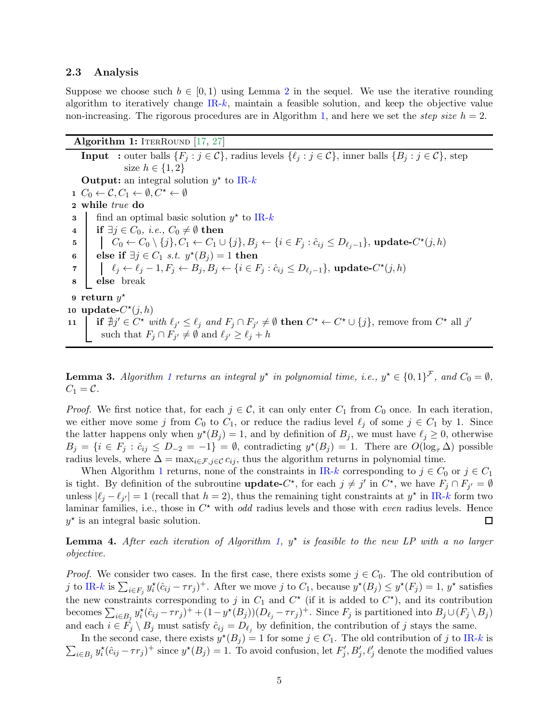### 2.3 Analysis

Suppose we choose such  $b \in [0,1)$  using Lemma [2](#page-3-1) in the sequel. We use the iterative rounding algorithm to iteratively change  $IR-k$  $IR-k$ , maintain a feasible solution, and keep the objective value non-increasing. The rigorous procedures are in Algorithm [1,](#page-4-0) and here we set the *step size*  $h = 2$ .

<span id="page-4-0"></span>**Algorithm 1:** ITERROUND [\[17,](#page-17-6) [27\]](#page-18-2) **Input** : outer balls  $\{F_j : j \in \mathcal{C}\}\$ , radius levels  $\{\ell_j : j \in \mathcal{C}\}\$ , inner balls  $\{B_j : j \in \mathcal{C}\}\$ , step size  $h \in \{1,2\}$ **Output:** an integral solution  $y^*$  to [IR-](#page-3-0)k  $1 \ C_0 \leftarrow \mathcal{C}, C_1 \leftarrow \emptyset, C^{\star} \leftarrow \emptyset$ 2 while true do **3** find an optimal basic solution  $y^*$  to [IR-](#page-3-0)k 4 if  $\exists j \in C_0$ , *i.e.*,  $C_0 \neq \emptyset$  then  $5 \quad | \quad \big| \quad C_0 \leftarrow C_0 \setminus \{j\}, C_1 \leftarrow C_1 \cup \{j\}, B_j \leftarrow \{i \in F_j : \hat{c}_{ij} \leq D_{\ell_j - 1}\}, \text{update-}C^\star(j, h)$ 6 else if  $\exists j \in C_1 \; s.t. \; y^*(B_j) = 1$  then  $\begin{array}{rcl} \tau & | & \ell_j \leftarrow \ell_j -1, F_j \leftarrow B_j, B_j \leftarrow \{i \in F_j : \hat{c}_{ij} \leq D_{\ell_j -1}\}, \text{update-}C^\star(j,h) \end{array}$ 8 else break  $9$  return  $y^{\star}$ 10 update- $C^*(j,h)$ 11 if  $\forall j' \in C^*$  with  $\ell_{j'} \leq \ell_j$  and  $F_j \cap F_{j'} \neq \emptyset$  then  $C^* \leftarrow C^* \cup \{j\}$ , remove from  $C^*$  all  $j'$ such that  $F_j \cap F_{j'} \neq \emptyset$  and  $\ell_{j'} \geq \ell_j + h$ 

**Lemma 3.** Algorithm [1](#page-4-0) returns an integral  $y^*$  in polynomial time, i.e.,  $y^* \in \{0,1\}^{\mathcal{F}}$ , and  $C_0 = \emptyset$ ,  $C_1 = \mathcal{C}.$ 

*Proof.* We first notice that, for each  $j \in C$ , it can only enter  $C_1$  from  $C_0$  once. In each iteration, we either move some j from  $C_0$  to  $C_1$ , or reduce the radius level  $\ell_j$  of some  $j \in C_1$  by 1. Since the latter happens only when  $y^*(B_j) = 1$ , and by definition of  $B_j$ , we must have  $\ell_j \geq 0$ , otherwise  $B_j = \{i \in F_j : \hat{c}_{ij} \leq D_{-2} = -1\} = \emptyset$ , contradicting  $y^*(B_j) = 1$ . There are  $O(\log_{\tau} \Delta)$  possible radius levels, where  $\Delta = \max_{i \in \mathcal{F}, j \in \mathcal{C}} c_{ij}$ , thus the algorithm returns in polynomial time.

When Algorithm [1](#page-4-0) returns, none of the constraints in [IR-](#page-3-0)k corresponding to  $j \in C_0$  or  $j \in C_1$ is tight. By definition of the subroutine **update-**C<sup>\*</sup>, for each  $j \neq j'$  in  $C^*$ , we have  $F_j \cap F_{j'} = \emptyset$ unless  $|\ell_j - \ell_{j'}| = 1$  (recall that  $h = 2$ ), thus the remaining tight constraints at  $y^*$  in [IR-](#page-3-0)k form two laminar families, i.e., those in  $C^*$  with *odd* radius levels and those with *even* radius levels. Hence  $y^*$  is an integral basic solution.  $\Box$ 

<span id="page-4-1"></span>**Lemma 4.** After each iteration of Algorithm [1,](#page-4-0)  $y^*$  is feasible to the new LP with a no larger objective.

*Proof.* We consider two cases. In the first case, there exists some  $j \in C_0$ . The old contribution of j to [IR-](#page-3-0)k is  $\sum_{i \in F_j} y_i^*(\hat{c}_{ij} - \tau r_j)^+$ . After we move j to  $C_1$ , because  $y^*(B_j) \leq y^*(F_j) = 1$ ,  $y^*$  satisfies the new constraints corresponding to j in  $C_1$  and  $C^*$  (if it is added to  $C^*$ ), and its contribution becomes  $\sum_{i\in B_j} y_i^*(\hat{c}_{ij} - \tau r_j)^+ + (1 - y^*(B_j))(D_{\ell_j} - \tau r_j)^+$ . Since  $F_j$  is partitioned into  $B_j\cup (F_j \setminus B_j)$ and each  $i \in F_j \setminus B_j$  must satisfy  $\hat{c}_{ij} = D_{\ell_j}$  by definition, the contribution of j stays the same.

In the second case, there exists  $y^*(B_j) = 1$  for some  $j \in C_1$ . The old contribution of j to [IR-](#page-3-0)k is  $\sum_{i\in B_j} y_i^*(\hat{c}_{ij}-\tau r_j)^+$  since  $y^*(B_j)=1$ . To avoid confusion, let  $F'_j, B'_j, \ell'_j$  denote the modified values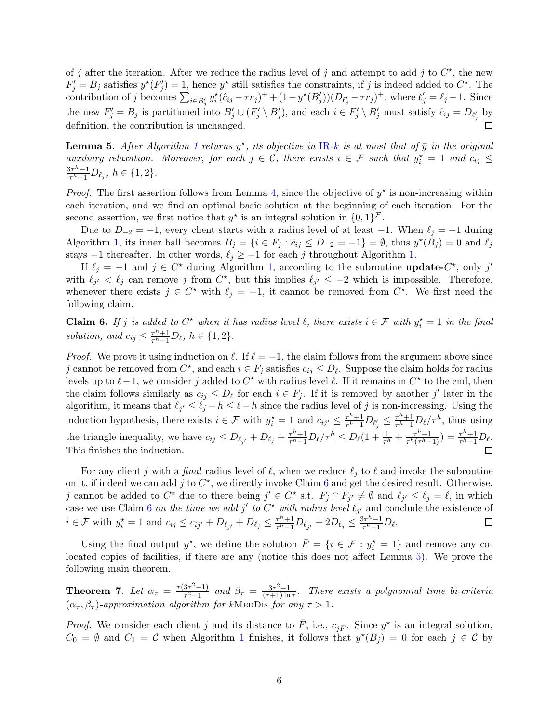of j after the iteration. After we reduce the radius level of j and attempt to add j to  $C^*$ , the new  $F'_j = B_j$  satisfies  $y^*(F'_j) = 1$ , hence  $y^*$  still satisfies the constraints, if j is indeed added to  $C^*$ . The contribution of j becomes  $\sum_{i \in B'_j} y_i^{\star}(\hat{c}_{ij} - \tau r_j)^+ + (1 - y^{\star}(B'_j))(D_{\ell'_j} - \tau r_j)^+$ , where  $\ell'_j = \ell_j - 1$ . Since the new  $F'_j = B_j$  is partitioned into  $B'_j \cup (F'_j \setminus B'_j)$ , and each  $i \in F'_j \setminus B'_j$  must satisfy  $\hat{c}_{ij} = D_{\ell'_j}$  by definition, the contribution is unchanged.

<span id="page-5-1"></span>**Lemma 5.** After Algorithm [1](#page-4-0) returns  $y^*$ , its objective in [IR](#page-3-0)-k is at most that of  $\bar{y}$  in the original auxiliary relaxation. Moreover, for each  $j \in \mathcal{C}$ , there exists  $i \in \mathcal{F}$  such that  $y_i^* = 1$  and  $c_{ij} \leq$  $3\tau^{h}-1$  $\frac{3\tau^{n}-1}{\tau^{h}-1}D_{\ell_{j}}, h \in \{1,2\}.$ 

*Proof.* The first assertion follows from Lemma [4,](#page-4-1) since the objective of  $y^*$  is non-increasing within each iteration, and we find an optimal basic solution at the beginning of each iteration. For the second assertion, we first notice that  $y^*$  is an integral solution in  $\{0,1\}^{\mathcal{F}}$ .

Due to  $D_{-2} = -1$ , every client starts with a radius level of at least  $-1$ . When  $\ell_i = -1$  during Algorithm [1,](#page-4-0) its inner ball becomes  $B_j = \{i \in F_j : \hat{c}_{ij} \le D_{-2} = -1\} = \emptyset$ , thus  $y^*(B_j) = 0$  and  $\ell_j$ stays −1 thereafter. In other words,  $\ell_j \geq -1$  for each j throughout Algorithm [1.](#page-4-0)

If  $\ell_j = -1$  and  $j \in C^*$  during Algorithm [1,](#page-4-0) according to the subroutine **update-** $C^*$ , only j' with  $\ell_{j'} < \ell_j$  can remove j from  $C^*$ , but this implies  $\ell_{j'} \leq -2$  which is impossible. Therefore, whenever there exists  $j \in C^*$  with  $\ell_j = -1$ , it cannot be removed from  $C^*$ . We first need the following claim.

<span id="page-5-0"></span>**Claim 6.** If j is added to  $C^*$  when it has radius level  $\ell$ , there exists  $i \in \mathcal{F}$  with  $y_i^* = 1$  in the final solution, and  $c_{ij} \leq \frac{\tau^h+1}{\tau^h-1}$  $\frac{\tau^{n}+1}{\tau^{h}-1}D_{\ell}, h \in \{1,2\}.$ 

*Proof.* We prove it using induction on  $\ell$ . If  $\ell = -1$ , the claim follows from the argument above since j cannot be removed from  $C^*$ , and each  $i \in F_j$  satisfies  $c_{ij} \leq D_\ell$ . Suppose the claim holds for radius levels up to  $\ell-1$ , we consider j added to  $C^*$  with radius level  $\ell$ . If it remains in  $C^*$  to the end, then the claim follows similarly as  $c_{ij} \leq D_{\ell}$  for each  $i \in F_j$ . If it is removed by another j' later in the algorithm, it means that  $\ell_{j'} \leq \ell_j - h \leq \ell - h$  since the radius level of j is non-increasing. Using the induction hypothesis, there exists  $i \in \mathcal{F}$  with  $y_i^* = 1$  and  $c_{ij'} \leq \frac{\tau^h + 1}{\tau^h - 1}$  $\frac{\tau^h+1}{\tau^h-1}D_{\ell_j'}\leq \frac{\tau^h+1}{\tau^h-1}$ j  $\frac{\tau^{n}+1}{\tau^{n}-1}D_{\ell}/\tau^{h}$ , thus using the triangle inequality, we have  $c_{ij} \leq D_{\ell_{j'}} + D_{\ell_j} + \frac{\tau^h + 1}{\tau^h - 1}$  $\frac{\tau^h + 1}{\tau^h - 1} D_\ell / \tau^h \leq D_\ell (1 + \frac{1}{\tau^h} + \frac{\tau^h + 1}{\tau^h (\tau^h - 1)}$  $\frac{\tau^h+1}{\tau^h(\tau^h-1)}$ )  $= \frac{\tau^h+1}{\tau^h-1}$  $\frac{\tau^n+1}{\tau^n-1}D_\ell.$ This finishes the induction.

For any client j with a final radius level of  $\ell$ , when we reduce  $\ell_j$  to  $\ell$  and invoke the subroutine on it, if indeed we can add j to  $C^*$ , we directly invoke Claim [6](#page-5-0) and get the desired result. Otherwise, j cannot be added to  $C^*$  due to there being  $j' \in C^*$  s.t.  $F_j \cap F_{j'} \neq \emptyset$  and  $\ell_{j'} \leq \ell_j = \ell$ , in which case we use Claim [6](#page-5-0) on the time we add j' to  $C^*$  with radius level  $\ell_{j'}$  and conclude the existence of  $i \in \mathcal{F}$  with  $y_i^* = 1$  and  $c_{ij} \leq c_{ij'} + D_{\ell_{j'}} + D_{\ell_j} \leq \frac{\tau^h + 1}{\tau^h - 1}$  $\frac{\tau^h+1}{\tau^h-1}D_{\ell_{j'}}+2D_{\ell_j}\leq \frac{3\tau^h-1}{\tau^h-1}$  $\Box$  $\frac{3\tau^n-1}{\tau^h-1}D_{\ell}.$ 

Using the final output  $y^*$ , we define the solution  $\overline{F} = \{i \in \mathcal{F} : y_i^* = 1\}$  and remove any colocated copies of facilities, if there are any (notice this does not affect Lemma [5\)](#page-5-1). We prove the following main theorem.

<span id="page-5-2"></span>**Theorem 7.** Let  $\alpha_{\tau} = \frac{\tau(3\tau^2-1)}{\tau^2-1}$  $\frac{3\tau^2-1)}{\tau^2-1}$  and  $\beta_{\tau} = \frac{3\tau^2-1}{(\tau+1)\ln 2}$  $\frac{3\tau^2-1}{(\tau+1)\ln\tau}$ . There exists a polynomial time bi-criteria  $(\alpha_{\tau}, \beta_{\tau})$ -approximation algorithm for kMEDDIS for any  $\tau > 1$ .

*Proof.* We consider each client j and its distance to  $\bar{F}$ , i.e.,  $c_{j\bar{F}}$ . Since  $y^*$  is an integral solution,  $C_0 = \emptyset$  and  $C_1 = \mathcal{C}$  $C_1 = \mathcal{C}$  $C_1 = \mathcal{C}$  when Algorithm 1 finishes, it follows that  $y^*(B_j) = 0$  for each  $j \in \mathcal{C}$  by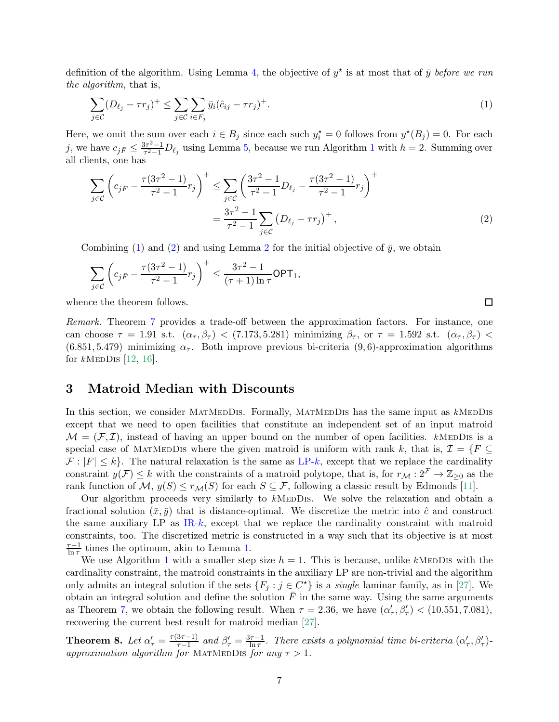definition of the algorithm. Using Lemma [4,](#page-4-1) the objective of  $y^*$  is at most that of  $\bar{y}$  before we run the algorithm, that is,

<span id="page-6-1"></span>
$$
\sum_{j\in\mathcal{C}} (D_{\ell_j} - \tau r_j)^+ \le \sum_{j\in\mathcal{C}} \sum_{i\in F_j} \bar{y}_i (\hat{c}_{ij} - \tau r_j)^+.
$$
\n(1)

Here, we omit the sum over each  $i \in B_j$  since each such  $y_i^* = 0$  follows from  $y^*(B_j) = 0$ . For each j, we have  $c_{j\bar{F}} \leq \frac{3\tau^2 - 1}{\tau^2 - 1}$  $\frac{5\tau^2-1}{\tau^2-1}D_{\ell_j}$  $\frac{5\tau^2-1}{\tau^2-1}D_{\ell_j}$  $\frac{5\tau^2-1}{\tau^2-1}D_{\ell_j}$  using Lemma [5,](#page-5-1) because we run Algorithm 1 with  $h=2$ . Summing over all clients, one has

$$
\sum_{j \in \mathcal{C}} \left( c_{j\bar{F}} - \frac{\tau(3\tau^2 - 1)}{\tau^2 - 1} r_j \right)^+ \leq \sum_{j \in \mathcal{C}} \left( \frac{3\tau^2 - 1}{\tau^2 - 1} D_{\ell_j} - \frac{\tau(3\tau^2 - 1)}{\tau^2 - 1} r_j \right)^+ \n= \frac{3\tau^2 - 1}{\tau^2 - 1} \sum_{j \in \mathcal{C}} \left( D_{\ell_j} - \tau r_j \right)^+,
$$
\n(2)

<span id="page-6-2"></span> $\Box$ 

Combining [\(1\)](#page-6-1) and [\(2\)](#page-6-2) and using Lemma [2](#page-3-1) for the initial objective of  $\bar{y}$ , we obtain

$$
\sum_{j\in\mathcal{C}}\left(c_{j\bar{F}}-\frac{\tau(3\tau^2-1)}{\tau^2-1}r_j\right)^+\leq \frac{3\tau^2-1}{(\tau+1)\ln\tau}\mathsf{OPT}_1,
$$

whence the theorem follows.

Remark. Theorem [7](#page-5-2) provides a trade-off between the approximation factors. For instance, one can choose  $\tau = 1.91$  s.t.  $(\alpha_{\tau}, \beta_{\tau}) < (7.173, 5.281)$  minimizing  $\beta_{\tau}$ , or  $\tau = 1.592$  s.t.  $(\alpha_{\tau}, \beta_{\tau}) <$  $(6.851, 5.479)$  minimizing  $\alpha_{\tau}$ . Both improve previous bi-criteria (9,6)-approximation algorithms for  $k$ MEDDIS [\[12,](#page-17-5) [16\]](#page-17-4).

# <span id="page-6-0"></span>3 Matroid Median with Discounts

In this section, we consider MATMEDDIS. Formally, MATMEDDIS has the same input as kMEDDIS except that we need to open facilities that constitute an independent set of an input matroid  $\mathcal{M} = (\mathcal{F}, \mathcal{I})$ , instead of having an upper bound on the number of open facilities. kMEDDIS is a special case of MATMEDDIS where the given matroid is uniform with rank k, that is,  $\mathcal{I} = \{F \subseteq$  $\mathcal{F}: |F| \leq k$ . The natural relaxation is the same as [LP-](#page-2-1)k, except that we replace the cardinality constraint  $y(\mathcal{F}) \leq k$  with the constraints of a matroid polytope, that is, for  $r_{\mathcal{M}} : 2^{\mathcal{F}} \to \mathbb{Z}_{\geq 0}$  as the rank function of  $\mathcal{M}, y(S) \leq r_{\mathcal{M}}(S)$  for each  $S \subseteq \mathcal{F}$ , following a classic result by Edmonds [\[11\]](#page-17-11).

Our algorithm proceeds very similarly to  $k$ MEDDIS. We solve the relaxation and obtain a fractional solution  $(\bar{x}, \bar{y})$  that is distance-optimal. We discretize the metric into  $\hat{c}$  and construct the same auxiliary LP as  $IR-k$  $IR-k$ , except that we replace the cardinality constraint with matroid constraints, too. The discretized metric is constructed in a way such that its objective is at most  $\tau-1$  $\frac{\tau-1}{\ln \tau}$  times the optimum, akin to Lemma [1.](#page-2-2)

We use Algorithm [1](#page-4-0) with a smaller step size  $h = 1$ . This is because, unlike kMEDDIS with the cardinality constraint, the matroid constraints in the auxiliary LP are non-trivial and the algorithm only admits an integral solution if the sets  $\{F_j : j \in C^{\star}\}\$ is a *single* laminar family, as in [\[27\]](#page-18-2). We obtain an integral solution and define the solution  $\overline{F}$  in the same way. Using the same arguments as Theorem [7,](#page-5-2) we obtain the following result. When  $\tau = 2.36$ , we have  $(\alpha'_{\tau}, \beta'_{\tau}) < (10.551, 7.081)$ , recovering the current best result for matroid median [\[27\]](#page-18-2).

<span id="page-6-3"></span>**Theorem 8.** Let  $\alpha'_{\tau} = \frac{\tau(3\tau-1)}{\tau-1}$  $\frac{3\tau-1)}{\tau-1}$  and  $\beta'_{\tau} = \frac{3\tau-1}{\ln \tau}$  $\frac{d\tau-1}{\ln\tau}$ . There exists a polynomial time bi-criteria  $(\alpha'_{\tau}, \beta'_{\tau})$ approximation algorithm for MATMEDDIS for any  $\tau > 1$ .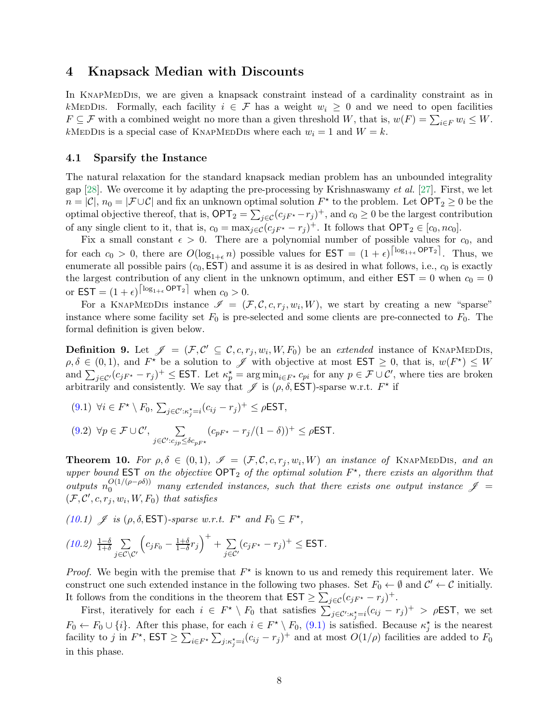# <span id="page-7-0"></span>4 Knapsack Median with Discounts

In KNAPMEDDIS, we are given a knapsack constraint instead of a cardinality constraint as in kMeDDIS. Formally, each facility  $i \in \mathcal{F}$  has a weight  $w_i \geq 0$  and we need to open facilities  $F \subseteq \mathcal{F}$  with a combined weight no more than a given threshold W, that is,  $w(F) = \sum_{i \in F} w_i \leq W$ . kMEDDIS is a special case of KNAPMEDDIS where each  $w_i = 1$  and  $W = k$ .

### 4.1 Sparsify the Instance

The natural relaxation for the standard knapsack median problem has an unbounded integrality gap [\[28\]](#page-18-6). We overcome it by adapting the pre-processing by Krishnaswamy et al. [\[27\]](#page-18-2). First, we let  $n = |\mathcal{C}|$ ,  $n_0 = |\mathcal{F} \cup \mathcal{C}|$  and fix an unknown optimal solution  $F^*$  to the problem. Let  $\text{OPT}_2 \geq 0$  be the optimal objective thereof, that is,  $\mathsf{OPT}_2 = \sum_{j \in \mathcal{C}} (c_{jF^*} - r_j)^+$ , and  $c_0 \geq 0$  be the largest contribution of any single client to it, that is,  $c_0 = \max_{j \in \mathcal{C}} (c_{jF^*} - r_j)^+$ . It follows that  $\text{OPT}_2 \in [c_0, nc_0]$ .

Fix a small constant  $\epsilon > 0$ . There are a polynomial number of possible values for  $c_0$ , and for each  $c_0 > 0$ , there are  $O(\log_{1+\epsilon} n)$  possible values for  $\textsf{EST} = (1+\epsilon)^{\lceil \log_{1+\epsilon} \textsf{OPT}_2 \rceil}$ . Thus, we enumerate all possible pairs  $(c_0, EST)$  and assume it is as desired in what follows, i.e.,  $c_0$  is exactly the largest contribution of any client in the unknown optimum, and either  $\text{EST} = 0$  when  $c_0 = 0$ or  $\textsf{EST} = (1+\epsilon)^{\lceil \log_{1+\epsilon} \textsf{OPT}_2 \rceil}$  when  $c_0 > 0$ .

For a KNAPMEDDIS instance  $\mathscr{I} = (\mathcal{F}, \mathcal{C}, c, r_j, w_i, W)$ , we start by creating a new "sparse" instance where some facility set  $F_0$  is pre-selected and some clients are pre-connected to  $F_0$ . The formal definition is given below.

<span id="page-7-1"></span>**Definition 9.** Let  $\mathcal{J} = (\mathcal{F}, \mathcal{C}' \subseteq \mathcal{C}, c, r_j, w_i, W, F_0)$  be an extended instance of KNAPMEDDIS,  $\rho, \delta \in (0,1)$ , and  $F^{\star}$  be a solution to  $\mathscr{J}$  with objective at most  $\mathsf{EST} \geq 0$ , that is,  $w(F^{\star}) \leq W$ and  $\sum_{j\in\mathcal{C}'}(c_{jF^*}-r_j)^+\leq$  EST. Let  $\kappa_p^*=\arg\min_{i\in F^*}c_{pi}$  for any  $p\in\mathcal{F}\cup\mathcal{C}'$ , where ties are broken arbitrarily and consistently. We say that  $\mathscr J$  is  $(\rho, \delta, \textsf{EST})$ -sparse w.r.t.  $F^*$  if

<span id="page-7-4"></span><span id="page-7-3"></span>
$$
(9.1) \ \forall i \in F^{\star} \setminus F_0, \ \sum_{j \in \mathcal{C}': \kappa_j^{\star} = i} (c_{ij} - r_j)^{+} \leq \rho \mathsf{EST},
$$

$$
(9.2) \ \forall p \in \mathcal{F} \cup \mathcal{C}', \ \sum_{j \in \mathcal{C}': c_{jp} \leq \delta c_{pF^{\star}}} (c_{pF^{\star}} - r_j/(1 - \delta))^{+} \leq \rho \mathsf{EST}.
$$

<span id="page-7-2"></span>**Theorem 10.** For  $\rho, \delta \in (0,1)$ ,  $\mathscr{I} = (\mathcal{F}, \mathcal{C}, c, r_j, w_i, W)$  an instance of KNAPMEDDIS, and an upper bound EST on the objective  $OPT_2$  of the optimal solution  $F^*$ , there exists an algorithm that outputs  $n_0^{O(1/(\rho-\rho\delta))}$  many extended instances, such that there exists one output instance  $\mathscr{J}$  =  $(\mathcal{F}, \mathcal{C}', c, r_j, w_i, W, F_0)$  that satisfies

<span id="page-7-6"></span><span id="page-7-5"></span>[\(10.](#page-7-2)1)  $\mathscr{J}$  is  $(\rho, \delta, \textsf{EST})$ -sparse w.r.t.  $F^*$  and  $F_0 \subseteq F^*$ ,

$$
(10.2) \frac{1-\delta}{1+\delta} \sum_{j \in \mathcal{C} \setminus \mathcal{C}'} \left( c_{jF_0} - \frac{1+\delta}{1-\delta} r_j \right)^+ + \sum_{j \in \mathcal{C}'} (c_{jF^\star} - r_j)^+ \le \text{EST}.
$$

*Proof.* We begin with the premise that  $F^*$  is known to us and remedy this requirement later. We construct one such extended instance in the following two phases. Set  $F_0 \leftarrow \emptyset$  and  $C' \leftarrow C$  initially. It follows from the conditions in the theorem that  $\textsf{EST} \geq \sum_{j \in \mathcal{C}} (c_{jF^*} - r_j)^+$ .

First, iteratively for each  $i \in F^* \setminus F_0$  that satisfies  $\sum_{j \in \mathcal{C}' : \kappa_j^* = i}^{\mathcal{C}} (c_{ij} - r_j)^+ > \rho \text{\rm EST}$ , we set  $F_0 \leftarrow F_0 \cup \{i\}$ . After this phase, for each  $i \in F^* \setminus F_0$ , [\(9.1\)](#page-7-3) is satisfied. Because  $\kappa_j^*$  is the nearest facility to j in  $F^*$ ,  $\text{EST} \geq \sum_{i \in F^*} \sum_{j: \kappa_j^* = i} (c_{ij} - r_j)^+$  and at most  $O(1/\rho)$  facilities are added to  $F_0$ in this phase.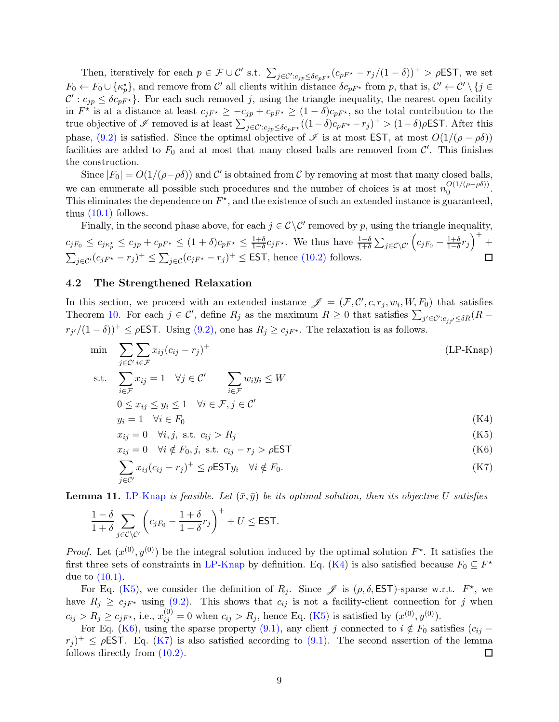Then, iteratively for each  $p \in \mathcal{F} \cup \mathcal{C}'$  s.t.  $\sum_{j \in \mathcal{C}': c_{jp} \leq \delta c_{pF^*}} (c_{pF^*} - r_j/(1 - \delta))^+ > \rho \text{EST}$ , we set  $F_0 \leftarrow F_0 \cup \{\kappa_p^{\star}\}\$ , and remove from  $\mathcal{C}'$  all clients within distance  $\delta c_{pF^{\star}}$  from p, that is,  $\mathcal{C}' \leftarrow \mathcal{C}' \setminus \{j \in$  $\mathcal{C}' : c_{jp} \leq \delta c_{pF^*}$ . For each such removed j, using the triangle inequality, the nearest open facility in  $F^*$  is at a distance at least  $c_{jF^*} \geq -c_{jp} + c_{pF^*} \geq (1 - \delta)c_{pF^*}$ , so the total contribution to the true objective of  $\mathscr I$  removed is at least  $\sum_{j\in\mathcal C':c_{jp}\leq \delta c_{pF^{\star}}}((1-\delta)c_{pF^{\star}}-r_j)^{+}>(1-\delta)\rho\text{\sf EST.}$  After this phase, [\(9](#page-7-1)[.2\)](#page-7-4) is satisfied. Since the optimal objective of  $\mathscr I$  is at most EST, at most  $O(1/(\rho - \rho \delta))$ facilities are added to  $F_0$  and at most that many closed balls are removed from  $\mathcal{C}'$ . This finishes the construction.

Since  $|F_0| = O(1/(\rho - \rho \delta))$  and C' is obtained from C by removing at most that many closed balls, we can enumerate all possible such procedures and the number of choices is at most  $n_0^{O(1/(\rho-\rho\delta))}$  $0^{(1/(p-p0))}$ . This eliminates the dependence on  $F^*$ , and the existence of such an extended instance is guaranteed, thus [\(10.1\)](#page-7-5) follows.

Finally, in the second phase above, for each  $j \in \mathcal{C} \backslash \mathcal{C}'$  removed by p, using the triangle inequality,  $c_{jF_0} \leq c_{j\kappa_P^\star} \leq c_{jp} + c_{pF^\star} \leq (1+\delta)c_{pF^\star} \leq \frac{1+\delta}{1-\delta}$  $\frac{1+\delta}{1-\delta}c_{jF^*}$ . We thus have  $\frac{1-\delta}{1+\delta}\sum_{j\in\mathcal{C}\setminus\mathcal{C}'}\left(c_{jF_0}-\frac{1+\delta}{1-\delta}\right)$  $\frac{1+\delta}{1-\delta}r_j$ <sup>+</sup> +  $\sum_{j\in\mathcal{C}'}(c_{jF^{\star}}-r_{j})^{+} \leq \sum_{j\in\mathcal{C}}(c_{jF^{\star}}-r_{j})^{+} \leq \textsf{EST}$ , hence [\(10.2\)](#page-7-6) follows.

### 4.2 The Strengthened Relaxation

In this section, we proceed with an extended instance  $\mathscr{J} = (\mathcal{F}, \mathcal{C}', c, r_j, w_i, W, F_0)$  that satisfies Theorem [10.](#page-7-2) For each  $j \in \mathcal{C}'$ , define  $R_j$  as the maximum  $R \geq 0$  that satisfies  $\sum_{j' \in \mathcal{C}' : c_{jj'} \leq \delta R} (R$  $r_{j'}/(1-\delta)^{+} \leq \rho \text{EST}$ . Using [\(9.2\),](#page-7-4) one has  $R_j \geq c_{j}F^*$ . The relaxation is as follows.

$$
\min \sum_{j \in \mathcal{C}'} \sum_{i \in \mathcal{F}} x_{ij} (c_{ij} - r_j)^+ \n\text{s.t.} \sum x_{ij} = 1 \quad \forall j \in \mathcal{C}' \qquad \sum w_i y_i \le W
$$
\n(LP-Knap)

$$
i \in \mathcal{F}
$$
  
\n
$$
0 \le x_{ij} \le y_i \le 1 \quad \forall i \in \mathcal{F}, j \in \mathcal{C}'
$$
  
\n
$$
y_i = 1 \quad \forall i \in F_0
$$
\n(K4)

<span id="page-8-2"></span><span id="page-8-1"></span><span id="page-8-0"></span>
$$
x_{ij} = 0 \quad \forall i, j, \text{ s.t. } c_{ij} > R_j \tag{K5}
$$

$$
x_{ij} = 0 \quad \forall i \notin F_0, j, \text{ s.t. } c_{ij} - r_j > \rho \text{EST}
$$
 (K6)

<span id="page-8-4"></span><span id="page-8-3"></span>
$$
\sum_{j \in \mathcal{C}'} x_{ij} (c_{ij} - r_j)^+ \le \rho \mathsf{EST} y_i \quad \forall i \notin F_0.
$$
\n(K7)

<span id="page-8-5"></span>**Lemma 11.** LP-[Knap](#page-8-0) is feasible. Let  $(\bar{x}, \bar{y})$  be its optimal solution, then its objective U satisfies

$$
\frac{1-\delta}{1+\delta}\sum_{j\in\mathcal{C}\backslash\mathcal{C}'}\left(c_{jF_0}-\frac{1+\delta}{1-\delta}r_j\right)^++U\leq\textsf{EST}.
$$

*Proof.* Let  $(x^{(0)}, y^{(0)})$  be the integral solution induced by the optimal solution  $F^*$ . It satisfies the first three sets of constraints in [LP-Knap](#page-8-0) by definition. Eq. [\(K4\)](#page-8-1) is also satisfied because  $F_0 \subseteq F^*$ due to [\(10](#page-7-2)[.1\).](#page-7-5)

For Eq. [\(K5\)](#page-8-2), we consider the definition of  $R_j$ . Since  $\mathscr J$  is  $(\rho, \delta, \textsf{EST})$ -sparse w.r.t.  $F^*$ , we have  $R_j \geq c_{jF^*}$  using [\(9](#page-7-1)[.2\).](#page-7-4) This shows that  $c_{ij}$  is not a facility-client connection for j when  $c_{ij} > R_j \ge c_{jF^*}$ , i.e.,  $x_{ij}^{(0)} = 0$  when  $c_{ij} > R_j$ , hence Eq. [\(K5\)](#page-8-2) is satisfied by  $(x^{(0)}, y^{(0)})$ .

For Eq. [\(K6\)](#page-8-3), using the sparse property [\(9.1\),](#page-7-3) any client j connected to  $i \notin F_0$  satisfies  $(c_{ij} (r_j)^+ \leq \rho$ EST. Eq. [\(K7\)](#page-8-4) is also satisfied according to [\(9](#page-7-1)[.1\).](#page-7-3) The second assertion of the lemma follows directly from [\(10.2\).](#page-7-6) 囗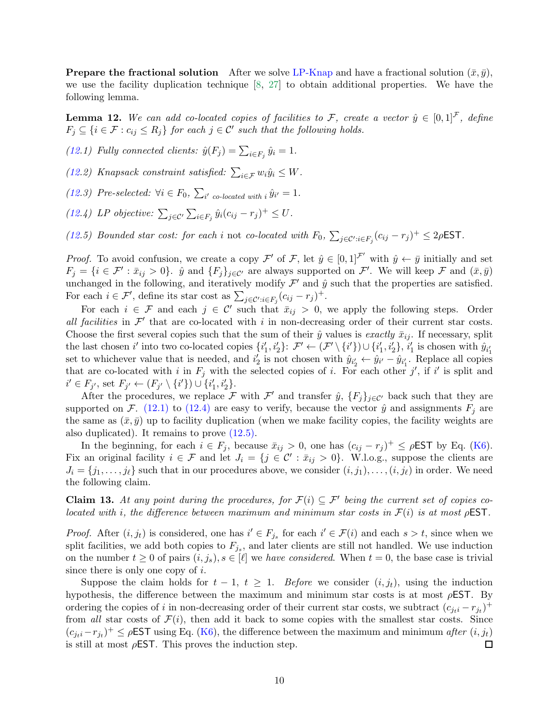**Prepare the fractional solution** After we solve [LP-Knap](#page-8-0) and have a fractional solution  $(\bar{x}, \bar{y})$ , we use the facility duplication technique [\[8,](#page-17-0) [27\]](#page-18-2) to obtain additional properties. We have the following lemma.

<span id="page-9-0"></span>**Lemma 12.** We can add co-located copies of facilities to F, create a vector  $\hat{y} \in [0,1]^{\mathcal{F}}$ , define  $F_j \subseteq \{i \in \mathcal{F} : c_{ij} \leq R_j\}$  for each  $j \in \mathcal{C}'$  such that the following holds.

<span id="page-9-1"></span>[\(12.](#page-9-0)1) Fully connected clients:  $\hat{y}(F_j) = \sum_{i \in F_j} \hat{y}_i = 1$ .

[\(12.](#page-9-0)2) Knapsack constraint satisfied:  $\sum_{i \in \mathcal{F}} w_i \hat{y}_i \leq W$ .

<span id="page-9-2"></span>[\(12.](#page-9-0)3) Pre-selected:  $\forall i \in F_0$ ,  $\sum_{i' \text{ co-located with } i} \hat{y}_{i'} = 1$ .

<span id="page-9-3"></span>[\(12.](#page-9-0)4) LP objective:  $\sum_{j \in \mathcal{C}'} \sum_{i \in F_j} \hat{y}_i (c_{ij} - r_j)^+ \leq U$ .

[\(12.](#page-9-0)5) Bounded star cost: for each i not co-located with  $F_0$ ,  $\sum_{j \in \mathcal{C}': i \in F_j} (c_{ij} - r_j)^+ \leq 2\rho \text{EST}$ .

*Proof.* To avoid confusion, we create a copy  $\mathcal{F}'$  of  $\mathcal{F}$ , let  $\hat{y} \in [0,1]^{\mathcal{F}'}$  with  $\hat{y} \leftarrow \bar{y}$  initially and set  $F_j = \{i \in \mathcal{F}' : \bar{x}_{ij} > 0\}$ .  $\hat{y}$  and  $\{F_j\}_{j \in \mathcal{C}'}$  are always supported on  $\mathcal{F}'$ . We will keep  $\mathcal{F}$  and  $(\bar{x}, \bar{y})$ unchanged in the following, and iteratively modify  $\mathcal{F}'$  and  $\hat{y}$  such that the properties are satisfied. For each  $i \in \mathcal{F}'$ , define its star cost as  $\sum_{j \in \mathcal{C}': i \in F_j} (c_{ij} - r_j)^+$ .

For each  $i \in \mathcal{F}$  and each  $j \in \mathcal{C}'$  such that  $\bar{x}_{ij} > 0$ , we apply the following steps. Order all facilities in  $\mathcal{F}'$  that are co-located with i in non-decreasing order of their current star costs. Choose the first several copies such that the sum of their  $\hat{y}$  values is exactly  $\bar{x}_{ij}$ . If necessary, split the last chosen i' into two co-located copies  $\{i'_1, i'_2\}$ :  $\mathcal{F}' \leftarrow (\mathcal{F}' \setminus \{i'\}) \cup \{i'_1, i'_2\}$ ,  $i'_1$  is chosen with  $\hat{y}_{i'_1}$ set to whichever value that is needed, and  $i'_2$  is not chosen with  $\hat{y}_{i'_2} \leftarrow \hat{y}_{i'} - \hat{y}_{i'_1}$ . Replace all copies that are co-located with i in  $F_j$  with the selected copies of i. For each other j', if i' is split and  $i' \in F_{j'}$ , set  $F_{j'} \leftarrow (F_{j'} \setminus \{i'\}) \cup \{i'_1, i'_2\}.$ 

After the procedures, we replace F with F' and transfer  $\hat{y}$ ,  $\{F_j\}_{j\in\mathcal{C}}$  back such that they are supported on F. [\(12](#page-9-0)[.1\)](#page-9-1) to (12[.4\)](#page-9-2) are easy to verify, because the vector  $\hat{y}$  and assignments  $F_j$  are the same as  $(\bar{x}, \bar{y})$  up to facility duplication (when we make facility copies, the facility weights are also duplicated). It remains to prove [\(12](#page-9-0)[.5\).](#page-9-3)

In the beginning, for each  $i \in F_j$ , because  $\bar{x}_{ij} > 0$ , one has  $(c_{ij} - r_j)^+ \le \rho \text{EST by Eq. (K6)}$  $(c_{ij} - r_j)^+ \le \rho \text{EST by Eq. (K6)}$  $(c_{ij} - r_j)^+ \le \rho \text{EST by Eq. (K6)}$ . Fix an original facility  $i \in \mathcal{F}$  and let  $J_i = \{j \in \mathcal{C}' : \bar{x}_{ij} > 0\}$ . W.l.o.g., suppose the clients are  $J_i = \{j_1, \ldots, j_\ell\}$  such that in our procedures above, we consider  $(i, j_1), \ldots, (i, j_\ell)$  in order. We need the following claim.

**Claim 13.** At any point during the procedures, for  $\mathcal{F}(i) \subseteq \mathcal{F}'$  being the current set of copies colocated with i, the difference between maximum and minimum star costs in  $\mathcal{F}(i)$  is at most  $\rho$ **EST**.

*Proof.* After  $(i, j_t)$  is considered, one has  $i' \in F_{j_s}$  for each  $i' \in \mathcal{F}(i)$  and each  $s > t$ , since when we split facilities, we add both copies to  $F_{j_s}$ , and later clients are still not handled. We use induction on the number  $t \geq 0$  of pairs  $(i, j_s), s \in [\ell]$  we have considered. When  $t = 0$ , the base case is trivial since there is only one copy of  $i$ .

Suppose the claim holds for  $t - 1$ ,  $t \geq 1$ . Before we consider  $(i, j_t)$ , using the induction hypothesis, the difference between the maximum and minimum star costs is at most  $\rho$ **EST**. By ordering the copies of i in non-decreasing order of their current star costs, we subtract  $(c_{j_t i} - r_{j_t})^+$ from all star costs of  $\mathcal{F}(i)$ , then add it back to some copies with the smallest star costs. Since  $(c_{ji} - r_{ji})^+ \le \rho \text{EST using Eq. (K6), the difference between the maximum and minimum after } (i, j_t)$  $(c_{ji} - r_{ji})^+ \le \rho \text{EST using Eq. (K6), the difference between the maximum and minimum after } (i, j_t)$  $(c_{ji} - r_{ji})^+ \le \rho \text{EST using Eq. (K6), the difference between the maximum and minimum after } (i, j_t)$ is still at most  $\rho$ **EST**. This proves the induction step. 囗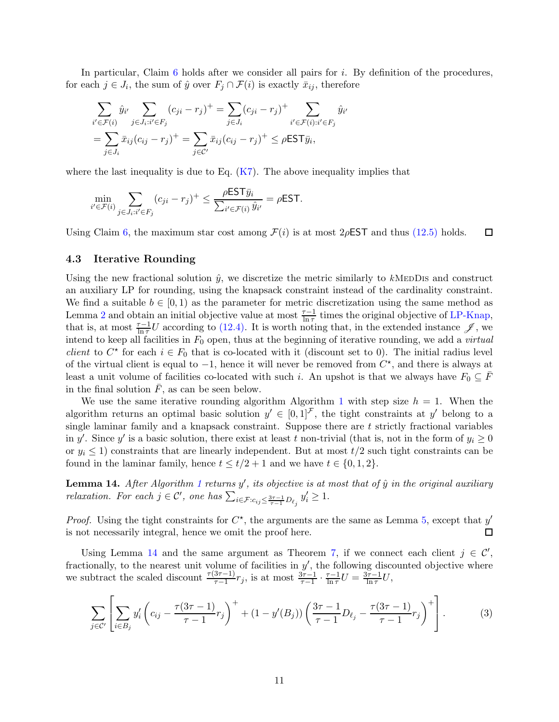In particular, Claim [6](#page-5-0) holds after we consider all pairs for i. By definition of the procedures, for each  $j \in J_i$ , the sum of  $\hat{y}$  over  $F_j \cap \mathcal{F}(i)$  is exactly  $\bar{x}_{ij}$ , therefore

$$
\sum_{i' \in \mathcal{F}(i)} \hat{y}_{i'} \sum_{j \in J_i : i' \in F_j} (c_{ji} - r_j)^+ = \sum_{j \in J_i} (c_{ji} - r_j)^+ \sum_{i' \in \mathcal{F}(i): i' \in F_j} \hat{y}_{i'}
$$

$$
= \sum_{j \in J_i} \bar{x}_{ij} (c_{ij} - r_j)^+ = \sum_{j \in C'} \bar{x}_{ij} (c_{ij} - r_j)^+ \le \rho \text{EST} \bar{y}_i,
$$

where the last inequality is due to Eq.  $(K7)$ . The above inequality implies that

$$
\min_{i' \in \mathcal{F}(i)} \sum_{j \in J_i : i' \in F_j} (c_{ji} - r_j)^+ \le \frac{\rho \mathsf{EST}\bar{y}_i}{\sum_{i' \in \mathcal{F}(i)} \hat{y}_{i'}} = \rho \mathsf{EST}.
$$

Using Claim [6,](#page-5-0) the maximum star cost among  $\mathcal{F}(i)$  is at most 2 $\rho$ EST and thus [\(12.5\)](#page-9-3) holds.  $\Box$ 

### 4.3 Iterative Rounding

Using the new fractional solution  $\hat{y}$ , we discretize the metric similarly to kMEDDIs and construct an auxiliary LP for rounding, using the knapsack constraint instead of the cardinality constraint. We find a suitable  $b \in [0, 1)$  as the parameter for metric discretization using the same method as Lemma [2](#page-3-1) and obtain an initial objective value at most  $\frac{\tau-1}{\ln \tau}$  times the original objective of [LP-Knap,](#page-8-0) that is, at most  $\frac{\tau-1}{\ln \tau}U$  according to [\(12.4\).](#page-9-2) It is worth noting that, in the extended instance  $\mathscr{J}$ , we intend to keep all facilities in  $F_0$  open, thus at the beginning of iterative rounding, we add a *virtual client* to  $C^*$  for each  $i \in F_0$  that is co-located with it (discount set to 0). The initial radius level of the virtual client is equal to  $-1$ , hence it will never be removed from  $C^*$ , and there is always at least a unit volume of facilities co-located with such i. An upshot is that we always have  $F_0 \subseteq F$ in the final solution  $\bar{F}$ , as can be seen below.

We use the same iterative rounding algorithm Algorithm [1](#page-4-0) with step size  $h = 1$ . When the algorithm returns an optimal basic solution  $y' \in [0,1]^{\mathcal{F}}$ , the tight constraints at y' belong to a single laminar family and a knapsack constraint. Suppose there are  $t$  strictly fractional variables in y'. Since y' is a basic solution, there exist at least t non-trivial (that is, not in the form of  $y_i \ge 0$ or  $y_i \leq 1$ ) constraints that are linearly independent. But at most  $t/2$  such tight constraints can be found in the laminar family, hence  $t \leq t/2 + 1$  and we have  $t \in \{0, 1, 2\}$ .

<span id="page-10-0"></span>**Lemma [1](#page-4-0)4.** After Algorithm 1 returns  $y'$ , its objective is at most that of  $\hat{y}$  in the original auxiliary relaxation. For each  $j \in \mathcal{C}'$ , one has  $\sum_{i \in \mathcal{F}: c_{ij} \leq \frac{3\tau-1}{\tau-1}D_{\ell_j}} y'_i \geq 1$ .

*Proof.* Using the tight constraints for  $C^*$ , the arguments are the same as Lemma [5,](#page-5-1) except that  $y'$ is not necessarily integral, hence we omit the proof here.  $\Box$ 

Using Lemma [14](#page-10-0) and the same argument as Theorem [7,](#page-5-2) if we connect each client  $j \in \mathcal{C}'$ , fractionally, to the nearest unit volume of facilities in  $y'$ , the following discounted objective where we subtract the scaled discount  $\frac{\tau(3\tau-1)}{\tau-1}r_j$ , is at most  $\frac{3\tau-1}{\tau-1} \cdot \frac{\tau-1}{\ln \tau}U = \frac{3\tau-1}{\ln \tau}U$ ,

<span id="page-10-1"></span>
$$
\sum_{j \in C'} \left[ \sum_{i \in B_j} y_i' \left( c_{ij} - \frac{\tau(3\tau - 1)}{\tau - 1} r_j \right)^+ + (1 - y'(B_j)) \left( \frac{3\tau - 1}{\tau - 1} D_{\ell_j} - \frac{\tau(3\tau - 1)}{\tau - 1} r_j \right)^+ \right]. \tag{3}
$$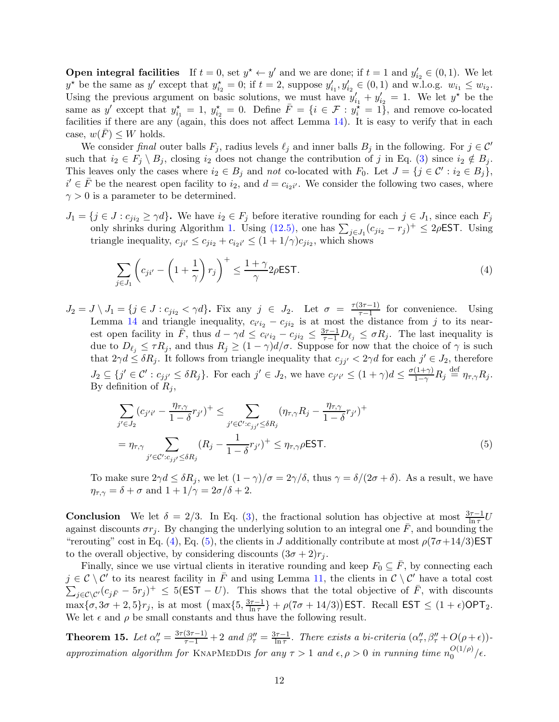**Open integral facilities** If  $t = 0$ , set  $y^* \leftarrow y'$  and we are done; if  $t = 1$  and  $y'_{i_2} \in (0, 1)$ . We let  $y^*$  be the same as y' except that  $y_{i_2}^* = 0$ ; if  $t = 2$ , suppose  $y_{i_1}^{\prime}, y_{i_2}^{\prime} \in (0, 1)$  and w.l.o.g.  $w_{i_1} \leq w_{i_2}$ . Using the previous argument on basic solutions, we must have  $y'_{i_1} + y'_{i_2} = 1$ . We let  $y^*$  be the same as y' except that  $y_{i_1}^* = 1$ ,  $y_{i_2}^* = 0$ . Define  $\overline{F} = \{i \in \mathcal{F} : y_i^* = 1\}$ , and remove co-located facilities if there are any (again, this does not affect Lemma [14\)](#page-10-0). It is easy to verify that in each case,  $w(\overline{F}) \leq W$  holds.

We consider final outer balls  $F_j$ , radius levels  $\ell_j$  and inner balls  $B_j$  in the following. For  $j \in \mathcal{C}'$ such that  $i_2 \in F_j \setminus B_j$ , closing  $i_2$  does not change the contribution of j in Eq. [\(3\)](#page-10-1) since  $i_2 \notin B_j$ . This leaves only the cases where  $i_2 \in B_j$  and not co-located with  $F_0$ . Let  $J = \{j \in \mathcal{C}' : i_2 \in B_j\}$ ,  $i' \in \overline{F}$  be the nearest open facility to  $i_2$ , and  $d = c_{i_2i'}$ . We consider the following two cases, where  $\gamma > 0$  is a parameter to be determined.

 $J_1 = \{j \in J : c_{ji_2} \geq \gamma d\}$ . We have  $i_2 \in F_j$  before iterative rounding for each  $j \in J_1$ , since each  $F_j$ only shrinks during Algorithm [1.](#page-4-0) Using  $(12.5)$ , one has  $\sum_{j\in J_1}(c_{ji2}-r_j)^+ \leq 2\rho \textsf{EST}$ . Using triangle inequality,  $c_{ji'} \leq c_{ji_2} + c_{i_2i'} \leq (1 + 1/\gamma)c_{ji_2}$ , which shows

<span id="page-11-0"></span>
$$
\sum_{j \in J_1} \left( c_{ji'} - \left( 1 + \frac{1}{\gamma} \right) r_j \right)^+ \le \frac{1 + \gamma}{\gamma} 2\rho \text{EST.}
$$
\n(4)

 $J_2 = J \setminus J_1 = \{j \in J : c_{ji_2} < \gamma d\}$ . Fix any  $j \in J_2$ . Let  $\sigma = \frac{\tau(3\tau - 1)}{\tau - 1}$  $\frac{57-11}{7-1}$  for convenience. Using Lemma [14](#page-10-0) and triangle inequality,  $c_{i'i_2} - c_{ji_2}$  is at most the distance from j to its nearest open facility in  $\bar{F}$ , thus  $d - \gamma d \leq c_{i'i_2} - c_{j'i_2} \leq \frac{3\tau - 1}{\tau - 1} D_{\ell_j} \leq \sigma R_j$ . The last inequality is due to  $D_{\ell_j} \leq \tau R_j$ , and thus  $R_j \geq (1 - \gamma)d/\sigma$ . Suppose for now that the choice of  $\gamma$  is such that  $2\gamma d \leq \delta R_j$ . It follows from triangle inequality that  $c_{jj'} < 2\gamma d$  for each  $j' \in J_2$ , therefore  $J_2 \subseteq \{j' \in \mathcal{C}' : c_{jj'} \leq \delta R_j\}$ . For each  $j' \in J_2$ , we have  $c_{j'i'} \leq (1+\gamma)d \leq \frac{\sigma(1+\gamma)}{1-\gamma}R_j \stackrel{\text{def}}{=} \eta_{\tau,\gamma}R_j$ . By definition of  $R_i$ ,

<span id="page-11-1"></span>
$$
\sum_{j' \in J_2} (c_{j'i'} - \frac{\eta_{\tau,\gamma}}{1 - \delta} r_{j'})^+ \le \sum_{j' \in \mathcal{C}': c_{jj'} \le \delta R_j} (\eta_{\tau,\gamma} R_j - \frac{\eta_{\tau,\gamma}}{1 - \delta} r_{j'})^+
$$
  
= 
$$
\eta_{\tau,\gamma} \sum_{j' \in \mathcal{C}': c_{jj'} \le \delta R_j} (R_j - \frac{1}{1 - \delta} r_{j'})^+ \le \eta_{\tau,\gamma} \rho \text{EST.}
$$
 (5)

To make sure  $2\gamma d \leq \delta R_j$ , we let  $(1 - \gamma)/\sigma = 2\gamma/\delta$ , thus  $\gamma = \delta/(2\sigma + \delta)$ . As a result, we have  $\eta_{\tau,\gamma} = \delta + \sigma$  and  $1 + 1/\gamma = 2\sigma/\delta + 2$ .

**Conclusion** We let  $\delta = 2/3$ . In Eq. [\(3\)](#page-10-1), the fractional solution has objective at most  $\frac{3\tau - 1}{\ln \tau}U$ against discounts  $\sigma r_i$ . By changing the underlying solution to an integral one  $\bar{F}$ , and bounding the "rerouting" cost in Eq. [\(4\)](#page-11-0), Eq. [\(5\)](#page-11-1), the clients in J additionally contribute at most  $\rho(7\sigma+14/3)$ EST to the overall objective, by considering discounts  $(3\sigma + 2)r_i$ .

Finally, since we use virtual clients in iterative rounding and keep  $F_0 \subseteq \overline{F}$ , by connecting each  $j \in \mathcal{C} \setminus \mathcal{C}'$  to its nearest facility in  $\overline{F}$  and using Lemma [11,](#page-8-5) the clients in  $\mathcal{C} \setminus \mathcal{C}'$  have a total cost  $\sum_{j\in\mathcal{C}\setminus\mathcal{C}'}(c_{j\bar{F}}-5r_j)^+\leq 5(\textsf{EST}-U)$ . This shows that the total objective of  $\bar{F}$ , with discounts  $\max{\lbrace \sigma, 3\sigma + 2, 5 \rbrace}$ r<sub>j</sub>, is at most  $\left( \max{\lbrace 5, \frac{3\tau - 1}{\ln \tau} \rbrace} \right)$  $\frac{2\pi-1}{\ln\tau}$  +  $\rho(7\sigma + 14/3)$ ) EST. Recall EST  $\leq (1+\epsilon)$ OPT<sub>2</sub>. We let  $\epsilon$  and  $\rho$  be small constants and thus have the following result.

**Theorem 15.** Let  $\alpha''_{\tau} = \frac{3\tau(3\tau-1)}{\tau-1} + 2$  and  $\beta''_{\tau} = \frac{3\tau-1}{\ln \tau}$  $\frac{1}{\ln \tau}$ . There exists a bi-criteria  $(\alpha''_{\tau}, \beta''_{\tau} + O(\rho + \epsilon))$ approximation algorithm for KNAPMEDDIS for any  $\tau > 1$  and  $\epsilon, \rho > 0$  in running time  $n_0^{O(1/\rho)}$  $\frac{O(1/\rho)}{0}/\epsilon$ .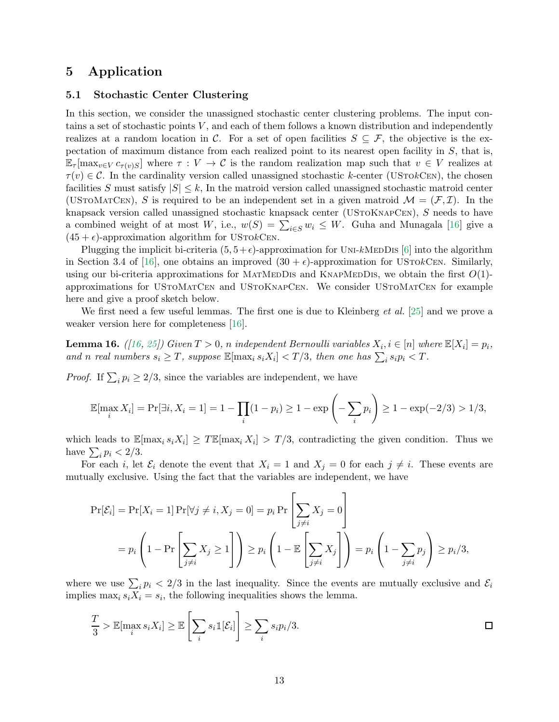# <span id="page-12-0"></span>5 Application

### 5.1 Stochastic Center Clustering

In this section, we consider the unassigned stochastic center clustering problems. The input contains a set of stochastic points  $V$ , and each of them follows a known distribution and independently realizes at a random location in C. For a set of open facilities  $S \subseteq \mathcal{F}$ , the objective is the expectation of maximum distance from each realized point to its nearest open facility in S, that is,  $\mathbb{E}_{\tau}[\max_{v \in V} c_{\tau(v)S}]$  where  $\tau : V \to C$  is the random realization map such that  $v \in V$  realizes at  $\tau(v) \in \mathcal{C}$ . In the cardinality version called unassigned stochastic k-center (USTOkCEN), the chosen facilities S must satisfy  $|S| \leq k$ , In the matroid version called unassigned stochastic matroid center (USTOMATCEN), S is required to be an independent set in a given matroid  $\mathcal{M} = (\mathcal{F}, \mathcal{I})$ . In the knapsack version called unassigned stochastic knapsack center (UStoKnapCen), S needs to have a combined weight of at most W, i.e.,  $w(S) = \sum_{i \in S} w_i \leq W$ . Guha and Munagala [\[16\]](#page-17-4) give a  $(45 + \epsilon)$ -approximation algorithm for USTOkCEN.

Plugging the implicit bi-criteria  $(5, 5+\epsilon)$ -approximation for UNI-kMeDDIS [\[6\]](#page-16-1) into the algorithm in Section 3.4 of [\[16\]](#page-17-4), one obtains an improved  $(30 + \epsilon)$ -approximation for USTokCen. Similarly, using our bi-criteria approximations for MATMEDDIs and KNAPMEDDIS, we obtain the first  $O(1)$ approximations for UStoMatCen and UStoKnapCen. We consider UStoMatCen for example here and give a proof sketch below.

<span id="page-12-1"></span>We first need a few useful lemmas. The first one is due to Kleinberg  $et al.$  [\[25\]](#page-18-8) and we prove a weaker version here for completeness [\[16\]](#page-17-4).

**Lemma 16.** ([\[16,](#page-17-4) [25\]](#page-18-8)) Given  $T > 0$ , n independent Bernoulli variables  $X_i$ ,  $i \in [n]$  where  $\mathbb{E}[X_i] = p_i$ , and n real numbers  $s_i \geq T$ , suppose  $\mathbb{E}[\max_i s_i X_i] < T/3$ , then one has  $\sum_i s_i p_i < T$ .

*Proof.* If  $\sum_i p_i \geq 2/3$ , since the variables are independent, we have

$$
\mathbb{E}[\max_i X_i] = \Pr[\exists i, X_i = 1] = 1 - \prod_i (1 - p_i) \ge 1 - \exp\left(-\sum_i p_i\right) \ge 1 - \exp(-2/3) > 1/3,
$$

which leads to  $\mathbb{E}[\max_i s_i X_i] \geq T \mathbb{E}[\max_i X_i] > T/3$ , contradicting the given condition. Thus we have  $\sum_i p_i < 2/3$ .

For each i, let  $\mathcal{E}_i$  denote the event that  $X_i = 1$  and  $X_j = 0$  for each  $j \neq i$ . These events are mutually exclusive. Using the fact that the variables are independent, we have

$$
\Pr[\mathcal{E}_i] = \Pr[X_i = 1] \Pr[\forall j \neq i, X_j = 0] = p_i \Pr\left[\sum_{j \neq i} X_j = 0\right]
$$
  
=  $p_i \left(1 - \Pr\left[\sum_{j \neq i} X_j \ge 1\right]\right) \ge p_i \left(1 - \mathbb{E}\left[\sum_{j \neq i} X_j\right]\right) = p_i \left(1 - \sum_{j \neq i} p_j\right) \ge p_i/3,$ 

where we use  $\sum_i p_i < 2/3$  in the last inequality. Since the events are mutually exclusive and  $\mathcal{E}_i$ implies  $\max_i s_i X_i = s_i$ , the following inequalities shows the lemma.

$$
\frac{T}{3} > \mathbb{E}[\max_i s_i X_i] \ge \mathbb{E}\left[\sum_i s_i \mathbb{1}[\mathcal{E}_i]\right] \ge \sum_i s_i p_i / 3.
$$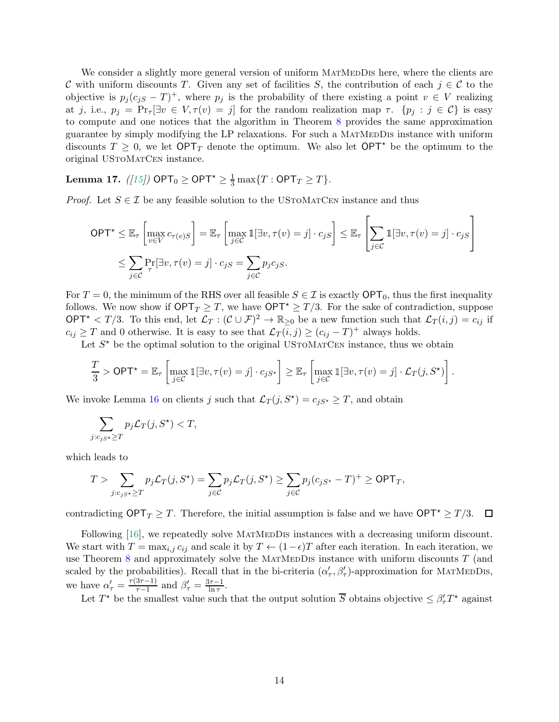We consider a slightly more general version of uniform MATMEDDIS here, where the clients are C with uniform discounts T. Given any set of facilities S, the contribution of each  $j \in \mathcal{C}$  to the objective is  $p_j(c_{jS} - T)^+$ , where  $p_j$  is the probability of there existing a point  $v \in V$  realizing at j, i.e.,  $p_j = \Pr_\tau[\exists v \in V, \tau(v) = j]$  for the random realization map  $\tau$ .  $\{p_j : j \in C\}$  is easy to compute and one notices that the algorithm in Theorem [8](#page-6-3) provides the same approximation guarantee by simply modifying the LP relaxations. For such a MatMedDis instance with uniform discounts  $T \geq 0$ , we let  $\mathsf{OPT}_T$  denote the optimum. We also let  $\mathsf{OPT}^*$  be the optimum to the original UStoMatCen instance.

<span id="page-13-0"></span>**Lemma 17.** ([\[15\]](#page-17-12))  $\mathsf{OPT}_0 \geq \mathsf{OPT}^{\star} \geq \frac{1}{3} \max\{T : \mathsf{OPT}_T \geq T\}.$ 

*Proof.* Let  $S \in \mathcal{I}$  be any feasible solution to the USTOMATCEN instance and thus

$$
OPT^{\star} \leq \mathbb{E}_{\tau} \left[ \max_{v \in V} c_{\tau(v)S} \right] = \mathbb{E}_{\tau} \left[ \max_{j \in C} \mathbb{1}[\exists v, \tau(v) = j] \cdot c_{jS} \right] \leq \mathbb{E}_{\tau} \left[ \sum_{j \in C} \mathbb{1}[\exists v, \tau(v) = j] \cdot c_{jS} \right]
$$

$$
\leq \sum_{j \in C} \Pr_{\tau}[\exists v, \tau(v) = j] \cdot c_{jS} = \sum_{j \in C} p_j c_{jS}.
$$

For  $T = 0$ , the minimum of the RHS over all feasible  $S \in \mathcal{I}$  is exactly  $\mathsf{OPT}_0$ , thus the first inequality follows. We now show if  $\mathsf{OPT}_T \geq T$ , we have  $\mathsf{OPT}^* \geq T/3$ . For the sake of contradiction, suppose OPT<sup>\*</sup>  $\langle T/3$ . To this end, let  $\mathcal{L}_T: (\mathcal{C} \cup \mathcal{F})^2 \to \mathbb{R}_{\geq 0}$  be a new function such that  $\mathcal{L}_T(i,j) = c_{ij}$  if  $c_{ij} \geq T$  and 0 otherwise. It is easy to see that  $\mathcal{L}_T(i,j) \geq (c_{ij} - T)^+$  always holds.

Let  $S^*$  be the optimal solution to the original USTOMATCEN instance, thus we obtain

$$
\frac{T}{3} > \mathsf{OPT}^\star = \mathbb{E}_\tau \left[ \max_{j \in \mathcal{C}} \mathbb{1}[\exists v, \tau(v) = j] \cdot c_{jS^\star} \right] \geq \mathbb{E}_\tau \left[ \max_{j \in \mathcal{C}} \mathbb{1}[\exists v, \tau(v) = j] \cdot \mathcal{L}_T(j, S^\star) \right].
$$

We invoke Lemma [16](#page-12-1) on clients j such that  $\mathcal{L}_T(j, S^*) = c_{jS^*} \geq T$ , and obtain

$$
\sum_{j:c_{jS^{\star}} \geq T} p_j \mathcal{L}_T(j, S^{\star}) < T,
$$

which leads to

$$
T > \sum_{j:c_js\star \geq T} p_j \mathcal{L}_T(j,S^\star) = \sum_{j \in \mathcal{C}} p_j \mathcal{L}_T(j,S^\star) \geq \sum_{j \in \mathcal{C}} p_j (c_{jS^\star} - T)^+ \geq \mathsf{OPT}_T,
$$

contradicting  $\mathsf{OPT}_T \geq T$ . Therefore, the initial assumption is false and we have  $\mathsf{OPT}^* \geq T/3$ .  $\Box$ 

Following [\[16\]](#page-17-4), we repeatedly solve MATMEDDIS instances with a decreasing uniform discount. We start with  $T = \max_{i,j} c_{ij}$  and scale it by  $T \leftarrow (1-\epsilon)T$  after each iteration. In each iteration, we use Theorem [8](#page-6-3) and approximately solve the MATMEDDIS instance with uniform discounts  $T$  (and scaled by the probabilities). Recall that in the bi-criteria  $(\alpha'_{\tau}, \beta'_{\tau})$ -approximation for MATMEDDIS, we have  $\alpha'_{\tau} = \frac{\tau(3\tau - 1)}{\tau - 1}$  $\frac{3\tau-1}{\tau-1}$  and  $\beta'_{\tau} = \frac{3\tau-1}{\ln \tau}$  $\frac{\tau-1}{\ln \tau}$ .

Let  $T^*$  be the smallest value such that the output solution  $\overline{S}$  obtains objective  $\leq \beta'_\tau T^*$  against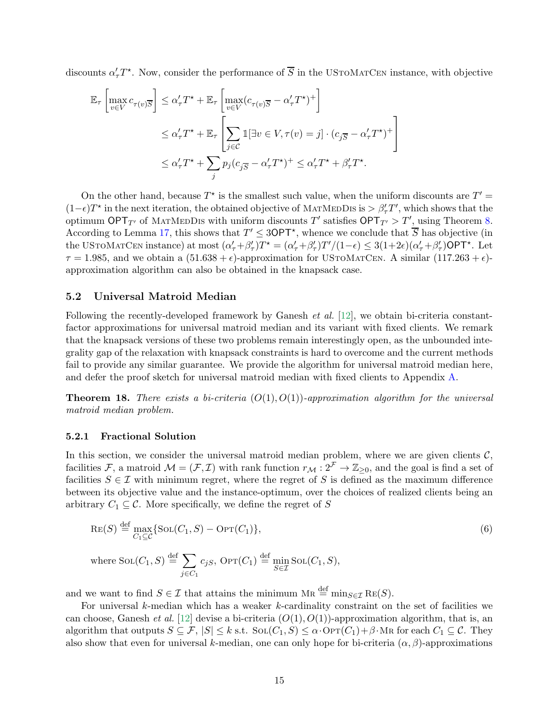discounts  $\alpha'_{\tau}T^*$ . Now, consider the performance of  $\overline{S}$  in the USTOMATCEN instance, with objective

$$
\mathbb{E}_{\tau} \left[ \max_{v \in V} c_{\tau(v)} \overline{s} \right] \leq \alpha_{\tau}' T^{\star} + \mathbb{E}_{\tau} \left[ \max_{v \in V} (c_{\tau(v)} \overline{s} - \alpha_{\tau}' T^{\star})^{+} \right]
$$
  

$$
\leq \alpha_{\tau}' T^{\star} + \mathbb{E}_{\tau} \left[ \sum_{j \in C} \mathbb{1} [\exists v \in V, \tau(v) = j] \cdot (c_{j} \overline{s} - \alpha_{\tau}' T^{\star})^{+} \right]
$$
  

$$
\leq \alpha_{\tau}' T^{\star} + \sum_{j} p_{j} (c_{j} \overline{s} - \alpha_{\tau}' T^{\star})^{+} \leq \alpha_{\tau}' T^{\star} + \beta_{\tau}' T^{\star}.
$$

On the other hand, because  $T^*$  is the smallest such value, when the uniform discounts are  $T'$  =  $(1-\epsilon)T^*$  in the next iteration, the obtained objective of MATMEDDIS is  $>\beta'_T T'$ , which shows that the optimum OPT<sub>T'</sub> of MATMEDDIS with uniform discounts T' satisfies  $\mathsf{OPT}_{T'} > T'$ , using Theorem [8.](#page-6-3) According to Lemma [17,](#page-13-0) this shows that  $T' \leq 3\mathsf{OPT}^*$ , whence we conclude that  $\overline{S}$  has objective (in the USTOMATCEN instance) at most  $(\alpha'_{\tau}+\beta'_{\tau})T^* = (\alpha'_{\tau}+\beta'_{\tau})T'/(1-\epsilon) \leq 3(1+2\epsilon)(\alpha'_{\tau}+\beta'_{\tau})$ OPT<sup>\*</sup>. Let  $\tau = 1.985$ , and we obtain a  $(51.638 + \epsilon)$ -approximation for USTOMATCEN. A similar  $(117.263 + \epsilon)$ approximation algorithm can also be obtained in the knapsack case.

### 5.2 Universal Matroid Median

Following the recently-developed framework by Ganesh et al. [\[12\]](#page-17-5), we obtain bi-criteria constantfactor approximations for universal matroid median and its variant with fixed clients. We remark that the knapsack versions of these two problems remain interestingly open, as the unbounded integrality gap of the relaxation with knapsack constraints is hard to overcome and the current methods fail to provide any similar guarantee. We provide the algorithm for universal matroid median here, and defer the proof sketch for universal matroid median with fixed clients to Appendix [A.](#page-18-9)

**Theorem 18.** There exists a bi-criteria  $(O(1), O(1))$ -approximation algorithm for the universal matroid median problem.

#### 5.2.1 Fractional Solution

In this section, we consider the universal matroid median problem, where we are given clients  $C$ , facilities F, a matroid  $\mathcal{M} = (\mathcal{F}, \mathcal{I})$  with rank function  $r_{\mathcal{M}} : 2^{\mathcal{F}} \to \mathbb{Z}_{\geq 0}$ , and the goal is find a set of facilities  $S \in \mathcal{I}$  with minimum regret, where the regret of S is defined as the maximum difference between its objective value and the instance-optimum, over the choices of realized clients being an arbitrary  $C_1 \subseteq \mathcal{C}$ . More specifically, we define the regret of S

$$
\operatorname{Re}(S) \stackrel{\text{def}}{=} \max_{C_1 \subseteq \mathcal{C}} \{ \operatorname{Sol}(C_1, S) - \operatorname{OPT}(C_1) \},\tag{6}
$$

where  $\text{Sol}(C_1, S) \stackrel{\text{def}}{=} \sum$  $j \in C_1$  $c_{jS}$ ,  $\text{OPT}(C_1) \stackrel{\text{def}}{=} \min_{S \in \mathcal{I}} \text{Sol}(C_1, S),$ 

and we want to find  $S \in \mathcal{I}$  that attains the minimum  $MR \stackrel{\text{def}}{=} \min_{S \in \mathcal{I}} \text{Re}(S)$ .

For universal  $k$ -median which has a weaker  $k$ -cardinality constraint on the set of facilities we can choose, Ganesh *et al.* [\[12\]](#page-17-5) devise a bi-criteria  $(O(1), O(1))$ -approximation algorithm, that is, an algorithm that outputs  $S \subseteq \mathcal{F}, |S| \leq k$  s.t.  $\text{Sol}(C_1, S) \leq \alpha \cdot \text{OPT}(C_1) + \beta \cdot \text{MR}$  for each  $C_1 \subseteq \mathcal{C}$ . They also show that even for universal k-median, one can only hope for bi-criteria  $(\alpha, \beta)$ -approximations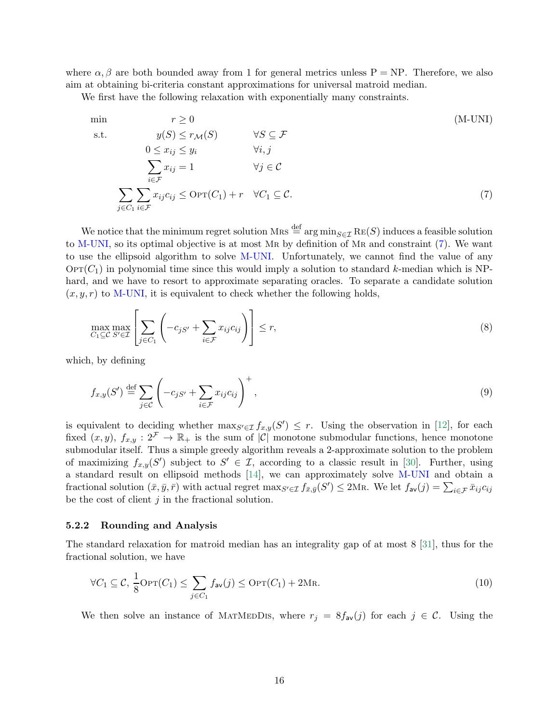where  $\alpha, \beta$  are both bounded away from 1 for general metrics unless P = NP. Therefore, we also aim at obtaining bi-criteria constant approximations for universal matroid median.

We first have the following relaxation with exponentially many constraints.

<span id="page-15-1"></span><span id="page-15-0"></span>min  
\n
$$
r \ge 0
$$
 (M-UNI)  
\ns.t.  $y(S) \le r_{\mathcal{M}}(S)$   $\forall S \subseteq \mathcal{F}$   
\n $0 \le x_{ij} \le y_i$   $\forall i, j$   
\n
$$
\sum_{i \in \mathcal{F}} x_{ij} = 1
$$
  $\forall j \in \mathcal{C}$   
\n
$$
\sum_{j \in C_1} \sum_{i \in \mathcal{F}} x_{ij} c_{ij} \le \text{OPT}(C_1) + r \quad \forall C_1 \subseteq \mathcal{C}.
$$
 (7)

We notice that the minimum regret solution Mrs  $\stackrel{\text{def}}{=} \arg \min_{S \in \mathcal{T}} \text{RE}(S)$  induces a feasible solution to [M-UNI,](#page-15-0) so its optimal objective is at most Mr by definition of Mr and constraint [\(7\)](#page-15-1). We want to use the ellipsoid algorithm to solve [M-UNI.](#page-15-0) Unfortunately, we cannot find the value of any  $\text{OPT}(C_1)$  in polynomial time since this would imply a solution to standard k-median which is NPhard, and we have to resort to approximate separating oracles. To separate a candidate solution  $(x, y, r)$  to [M-UNI,](#page-15-0) it is equivalent to check whether the following holds,

$$
\max_{C_1 \subseteq \mathcal{C}} \max_{S' \in \mathcal{I}} \left[ \sum_{j \in C_1} \left( -c_{jS'} + \sum_{i \in \mathcal{F}} x_{ij} c_{ij} \right) \right] \le r,
$$
\n(8)

which, by defining

$$
f_{x,y}(S') \stackrel{\text{def}}{=} \sum_{j \in C} \left( -c_{jS'} + \sum_{i \in \mathcal{F}} x_{ij} c_{ij} \right)^+, \tag{9}
$$

is equivalent to deciding whether  $\max_{S' \in \mathcal{I}} f_{x,y}(S') \leq r$ . Using the observation in [\[12\]](#page-17-5), for each fixed  $(x, y)$ ,  $f_{x,y}$ :  $2^{\mathcal{F}} \to \mathbb{R}_+$  is the sum of  $|\mathcal{C}|$  monotone submodular functions, hence monotone submodular itself. Thus a simple greedy algorithm reveals a 2-approximate solution to the problem of maximizing  $f_{x,y}(S')$  subject to  $S' \in \mathcal{I}$ , according to a classic result in [\[30\]](#page-18-10). Further, using a standard result on ellipsoid methods [\[14\]](#page-17-13), we can approximately solve [M-UNI](#page-15-0) and obtain a fractional solution  $(\bar{x}, \bar{y}, \bar{r})$  with actual regret  $\max_{S' \in \mathcal{I}} f_{\bar{x}, \bar{y}}(S') \leq 2 \text{M}\textsc{r}$ . We let  $f_{\mathsf{av}}(j) = \sum_{i \in \mathcal{F}} \bar{x}_{ij} c_{ij}$ be the cost of client  $j$  in the fractional solution.

### 5.2.2 Rounding and Analysis

The standard relaxation for matroid median has an integrality gap of at most 8 [\[31\]](#page-18-3), thus for the fractional solution, we have

<span id="page-15-2"></span>
$$
\forall C_1 \subseteq \mathcal{C}, \frac{1}{8} \text{OPT}(C_1) \le \sum_{j \in C_1} f_{\text{av}}(j) \le \text{OPT}(C_1) + 2\text{MR}.
$$
\n(10)

We then solve an instance of MATMEDDIS, where  $r_j = 8f_{av}(j)$  for each  $j \in \mathcal{C}$ . Using the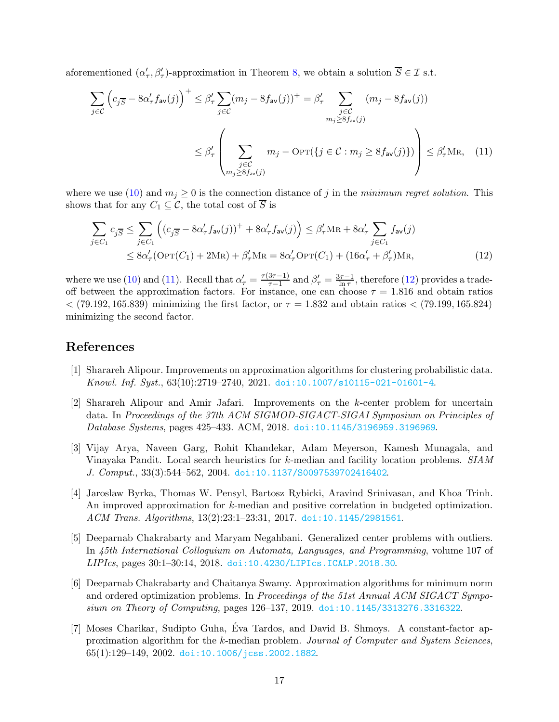aforementioned  $(\alpha'_{\tau}, \beta'_{\tau})$ -approximation in Theorem [8,](#page-6-3) we obtain a solution  $\overline{S} \in \mathcal{I}$  s.t.

<span id="page-16-7"></span>
$$
\sum_{j \in \mathcal{C}} \left( c_{j\overline{S}} - 8\alpha'_{\tau} f_{\mathsf{av}}(j) \right)^{+} \leq \beta'_{\tau} \sum_{j \in \mathcal{C}} (m_j - 8f_{\mathsf{av}}(j))^{+} = \beta'_{\tau} \sum_{\substack{j \in \mathcal{C} \\ m_j \geq 8f_{\mathsf{av}}(j)}} (m_j - 8f_{\mathsf{av}}(j))
$$
\n
$$
\leq \beta'_{\tau} \left( \sum_{\substack{j \in \mathcal{C} \\ m_j \geq 8f_{\mathsf{av}}(j)}} m_j - \text{OPT}\left( \{ j \in \mathcal{C} : m_j \geq 8f_{\mathsf{av}}(j) \} \right) \right) \leq \beta'_{\tau} \text{MR}, \quad (11)
$$

where we use [\(10\)](#page-15-2) and  $m_j \geq 0$  is the connection distance of j in the minimum regret solution. This shows that for any  $C_1 \subseteq \mathcal{C}$ , the total cost of  $\overline{S}$  is

<span id="page-16-8"></span>
$$
\sum_{j \in C_1} c_{j\overline{S}} \le \sum_{j \in C_1} \left( (c_{j\overline{S}} - 8\alpha'_{\tau} f_{\mathsf{av}}(j))^+ + 8\alpha'_{\tau} f_{\mathsf{av}}(j) \right) \le \beta'_{\tau} \mathsf{M}\mathsf{R} + 8\alpha'_{\tau} \sum_{j \in C_1} f_{\mathsf{av}}(j)
$$
\n
$$
\le 8\alpha'_{\tau} (\mathsf{OPT}(C_1) + 2\mathsf{M}\mathsf{R}) + \beta'_{\tau} \mathsf{M}\mathsf{R} = 8\alpha'_{\tau} \mathsf{OPT}(C_1) + (16\alpha'_{\tau} + \beta'_{\tau}) \mathsf{M}\mathsf{R},\tag{12}
$$

where we use [\(10\)](#page-15-2) and [\(11\)](#page-16-7). Recall that  $\alpha'_{\tau} = \frac{\tau(3\tau - 1)}{\tau - 1}$  $\frac{3\tau-1}{\tau-1}$  and  $\beta'_{\tau} = \frac{3\tau-1}{\ln \tau}$  $\frac{1}{\ln \tau}$ , therefore [\(12\)](#page-16-8) provides a tradeoff between the approximation factors. For instance, one can choose  $\tau = 1.816$  and obtain ratios  $<$  (79.192, 165.839) minimizing the first factor, or  $\tau = 1.832$  and obtain ratios  $<$  (79.199, 165.824) minimizing the second factor.

# <span id="page-16-6"></span>References

- <span id="page-16-5"></span>[1] Sharareh Alipour. Improvements on approximation algorithms for clustering probabilistic data. Knowl. Inf. Syst., 63(10):2719–2740, 2021. [doi:10.1007/s10115-021-01601-4](https://doi.org/10.1007/s10115-021-01601-4).
- [2] Sharareh Alipour and Amir Jafari. Improvements on the k-center problem for uncertain data. In Proceedings of the 37th ACM SIGMOD-SIGACT-SIGAI Symposium on Principles of Database Systems, pages 425–433. ACM, 2018. [doi:10.1145/3196959.3196969](https://doi.org/10.1145/3196959.3196969).
- <span id="page-16-2"></span>[3] Vijay Arya, Naveen Garg, Rohit Khandekar, Adam Meyerson, Kamesh Munagala, and Vinayaka Pandit. Local search heuristics for k-median and facility location problems. SIAM J. Comput., 33(3):544–562, 2004. [doi:10.1137/S0097539702416402](https://doi.org/10.1137/S0097539702416402).
- <span id="page-16-0"></span>[4] Jaroslaw Byrka, Thomas W. Pensyl, Bartosz Rybicki, Aravind Srinivasan, and Khoa Trinh. An improved approximation for k-median and positive correlation in budgeted optimization. ACM Trans. Algorithms, 13(2):23:1–23:31, 2017. [doi:10.1145/2981561](https://doi.org/10.1145/2981561).
- <span id="page-16-4"></span>[5] Deeparnab Chakrabarty and Maryam Negahbani. Generalized center problems with outliers. In 45th International Colloquium on Automata, Languages, and Programming, volume 107 of LIPIcs, pages 30:1–30:14, 2018. [doi:10.4230/LIPIcs.ICALP.2018.30](https://doi.org/10.4230/LIPIcs.ICALP.2018.30).
- <span id="page-16-1"></span>[6] Deeparnab Chakrabarty and Chaitanya Swamy. Approximation algorithms for minimum norm and ordered optimization problems. In Proceedings of the 51st Annual ACM SIGACT Symposium on Theory of Computing, pages 126–137, 2019. [doi:10.1145/3313276.3316322](https://doi.org/10.1145/3313276.3316322).
- <span id="page-16-3"></span>[7] Moses Charikar, Sudipto Guha, Eva Tardos, and David B. Shmoys. A constant-factor ap- ´ proximation algorithm for the k-median problem. Journal of Computer and System Sciences, 65(1):129–149, 2002. [doi:10.1006/jcss.2002.1882](https://doi.org/10.1006/jcss.2002.1882).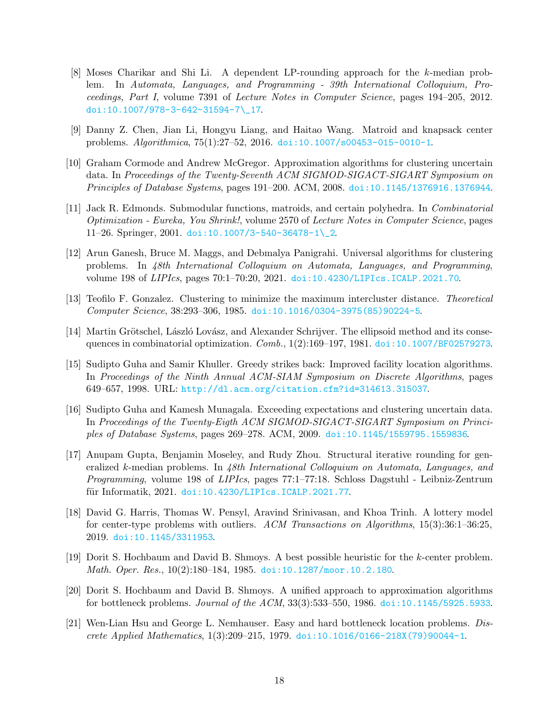- <span id="page-17-0"></span>[8] Moses Charikar and Shi Li. A dependent LP-rounding approach for the k-median problem. In Automata, Languages, and Programming - 39th International Colloquium, Proceedings, Part I, volume 7391 of Lecture Notes in Computer Science, pages 194–205, 2012. [doi:10.1007/978-3-642-31594-7\\\_17](https://doi.org/10.1007/978-3-642-31594-7_17).
- <span id="page-17-10"></span><span id="page-17-8"></span>[9] Danny Z. Chen, Jian Li, Hongyu Liang, and Haitao Wang. Matroid and knapsack center problems. Algorithmica, 75(1):27–52, 2016. [doi:10.1007/s00453-015-0010-1](https://doi.org/10.1007/s00453-015-0010-1).
- [10] Graham Cormode and Andrew McGregor. Approximation algorithms for clustering uncertain data. In Proceedings of the Twenty-Seventh ACM SIGMOD-SIGACT-SIGART Symposium on Principles of Database Systems, pages 191–200. ACM, 2008. [doi:10.1145/1376916.1376944](https://doi.org/10.1145/1376916.1376944).
- <span id="page-17-11"></span>[11] Jack R. Edmonds. Submodular functions, matroids, and certain polyhedra. In Combinatorial Optimization - Eureka, You Shrink!, volume 2570 of Lecture Notes in Computer Science, pages  $11-26.$  Springer, 2001. doi:10.1007/3-540-36478-1\2.
- <span id="page-17-5"></span>[12] Arun Ganesh, Bruce M. Maggs, and Debmalya Panigrahi. Universal algorithms for clustering problems. In 48th International Colloquium on Automata, Languages, and Programming, volume 198 of LIPIcs, pages 70:1–70:20, 2021. [doi:10.4230/LIPIcs.ICALP.2021.70](https://doi.org/10.4230/LIPIcs.ICALP.2021.70).
- <span id="page-17-13"></span><span id="page-17-1"></span>[13] Teofilo F. Gonzalez. Clustering to minimize the maximum intercluster distance. Theoretical Computer Science, 38:293–306, 1985. [doi:10.1016/0304-3975\(85\)90224-5](https://doi.org/10.1016/0304-3975(85)90224-5).
- <span id="page-17-12"></span>[14] Martin Grötschel, László Lovász, and Alexander Schrijver. The ellipsoid method and its consequences in combinatorial optimization.  $Comb.$ ,  $1(2):169-197$ , 1981. [doi:10.1007/BF02579273](https://doi.org/10.1007/BF02579273).
- [15] Sudipto Guha and Samir Khuller. Greedy strikes back: Improved facility location algorithms. In Proceedings of the Ninth Annual ACM-SIAM Symposium on Discrete Algorithms, pages 649–657, 1998. URL: <http://dl.acm.org/citation.cfm?id=314613.315037>.
- <span id="page-17-4"></span>[16] Sudipto Guha and Kamesh Munagala. Exceeding expectations and clustering uncertain data. In Proceedings of the Twenty-Eigth ACM SIGMOD-SIGACT-SIGART Symposium on Principles of Database Systems, pages 269–278. ACM, 2009. [doi:10.1145/1559795.1559836](https://doi.org/10.1145/1559795.1559836).
- <span id="page-17-6"></span>[17] Anupam Gupta, Benjamin Moseley, and Rudy Zhou. Structural iterative rounding for generalized k-median problems. In 48th International Colloquium on Automata, Languages, and Programming, volume 198 of LIPIcs, pages 77:1–77:18. Schloss Dagstuhl - Leibniz-Zentrum für Informatik, 2021. [doi:10.4230/LIPIcs.ICALP.2021.77](https://doi.org/10.4230/LIPIcs.ICALP.2021.77).
- <span id="page-17-9"></span>[18] David G. Harris, Thomas W. Pensyl, Aravind Srinivasan, and Khoa Trinh. A lottery model for center-type problems with outliers. ACM Transactions on Algorithms, 15(3):36:1–36:25, 2019. [doi:10.1145/3311953](https://doi.org/10.1145/3311953).
- <span id="page-17-2"></span>[19] Dorit S. Hochbaum and David B. Shmoys. A best possible heuristic for the k-center problem. Math. Oper. Res., 10(2):180–184, 1985. [doi:10.1287/moor.10.2.180](https://doi.org/10.1287/moor.10.2.180).
- <span id="page-17-3"></span>[20] Dorit S. Hochbaum and David B. Shmoys. A unified approach to approximation algorithms for bottleneck problems. Journal of the ACM, 33(3):533–550, 1986. [doi:10.1145/5925.5933](https://doi.org/10.1145/5925.5933).
- <span id="page-17-7"></span>[21] Wen-Lian Hsu and George L. Nemhauser. Easy and hard bottleneck location problems. Discrete Applied Mathematics, 1(3):209–215, 1979. [doi:10.1016/0166-218X\(79\)90044-1](https://doi.org/10.1016/0166-218X(79)90044-1).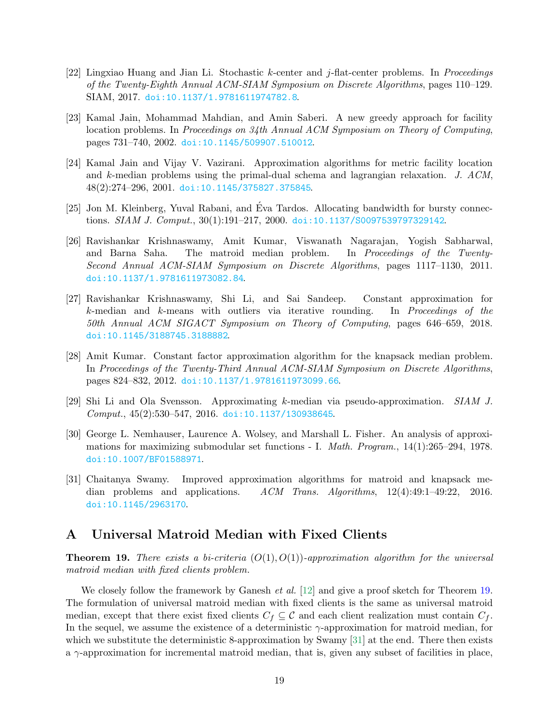- <span id="page-18-7"></span>[22] Lingxiao Huang and Jian Li. Stochastic k-center and j-flat-center problems. In Proceedings of the Twenty-Eighth Annual ACM-SIAM Symposium on Discrete Algorithms, pages 110–129. SIAM, 2017. [doi:10.1137/1.9781611974782.8](https://doi.org/10.1137/1.9781611974782.8).
- <span id="page-18-0"></span>[23] Kamal Jain, Mohammad Mahdian, and Amin Saberi. A new greedy approach for facility location problems. In Proceedings on 34th Annual ACM Symposium on Theory of Computing, pages 731–740, 2002. [doi:10.1145/509907.510012](https://doi.org/10.1145/509907.510012).
- <span id="page-18-1"></span>[24] Kamal Jain and Vijay V. Vazirani. Approximation algorithms for metric facility location and k-median problems using the primal-dual schema and lagrangian relaxation. J. ACM, 48(2):274–296, 2001. [doi:10.1145/375827.375845](https://doi.org/10.1145/375827.375845).
- <span id="page-18-8"></span>[25] Jon M. Kleinberg, Yuval Rabani, and Eva Tardos. Allocating bandwidth for bursty connec- ´ tions. SIAM J. Comput., 30(1):191–217, 2000. [doi:10.1137/S0097539797329142](https://doi.org/10.1137/S0097539797329142).
- <span id="page-18-5"></span>[26] Ravishankar Krishnaswamy, Amit Kumar, Viswanath Nagarajan, Yogish Sabharwal, and Barna Saha. The matroid median problem. In Proceedings of the Twenty-Second Annual ACM-SIAM Symposium on Discrete Algorithms, pages 1117–1130, 2011. [doi:10.1137/1.9781611973082.84](https://doi.org/10.1137/1.9781611973082.84).
- <span id="page-18-2"></span>[27] Ravishankar Krishnaswamy, Shi Li, and Sai Sandeep. Constant approximation for k-median and k-means with outliers via iterative rounding. In Proceedings of the 50th Annual ACM SIGACT Symposium on Theory of Computing, pages 646–659, 2018. [doi:10.1145/3188745.3188882](https://doi.org/10.1145/3188745.3188882).
- <span id="page-18-6"></span>[28] Amit Kumar. Constant factor approximation algorithm for the knapsack median problem. In Proceedings of the Twenty-Third Annual ACM-SIAM Symposium on Discrete Algorithms, pages 824–832, 2012. [doi:10.1137/1.9781611973099.66](https://doi.org/10.1137/1.9781611973099.66).
- <span id="page-18-10"></span><span id="page-18-4"></span>[29] Shi Li and Ola Svensson. Approximating k-median via pseudo-approximation. SIAM J.  $Comput., 45(2):530-547, 2016. \text{ doi: } 10.1137/130938645.$
- [30] George L. Nemhauser, Laurence A. Wolsey, and Marshall L. Fisher. An analysis of approximations for maximizing submodular set functions - I. Math. Program., 14(1):265–294, 1978. [doi:10.1007/BF01588971](https://doi.org/10.1007/BF01588971).
- <span id="page-18-3"></span>[31] Chaitanya Swamy. Improved approximation algorithms for matroid and knapsack median problems and applications. ACM Trans. Algorithms, 12(4):49:1–49:22, 2016. [doi:10.1145/2963170](https://doi.org/10.1145/2963170).

# <span id="page-18-11"></span><span id="page-18-9"></span>A Universal Matroid Median with Fixed Clients

**Theorem 19.** There exists a bi-criteria  $(O(1), O(1))$ -approximation algorithm for the universal matroid median with fixed clients problem.

We closely follow the framework by Ganesh *et al.* [\[12\]](#page-17-5) and give a proof sketch for Theorem [19.](#page-18-11) The formulation of universal matroid median with fixed clients is the same as universal matroid median, except that there exist fixed clients  $C_f \subseteq \mathcal{C}$  and each client realization must contain  $C_f$ . In the sequel, we assume the existence of a deterministic  $\gamma$ -approximation for matroid median, for which we substitute the deterministic 8-approximation by Swamy [\[31\]](#page-18-3) at the end. There then exists a  $\gamma$ -approximation for incremental matroid median, that is, given any subset of facilities in place,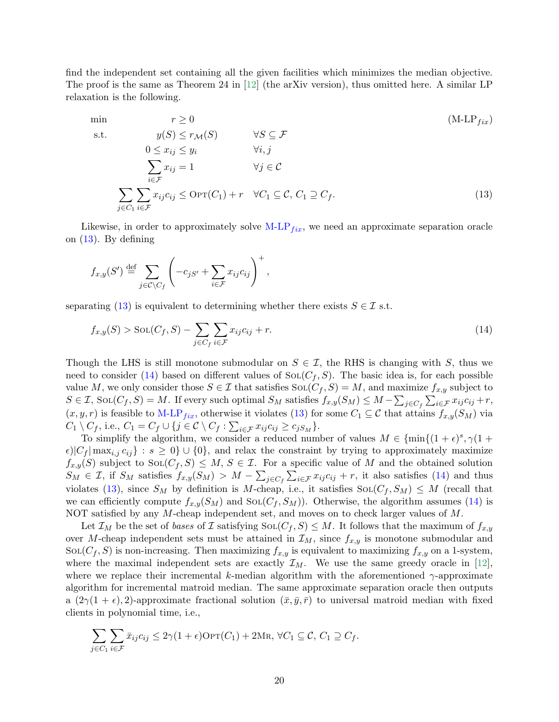find the independent set containing all the given facilities which minimizes the median objective. The proof is the same as Theorem 24 in [\[12\]](#page-17-5) (the arXiv version), thus omitted here. A similar LP relaxation is the following.

<span id="page-19-1"></span><span id="page-19-0"></span>min  
\n
$$
r \ge 0
$$
  
\ns.t.  $y(S) \le r_{\mathcal{M}}(S)$   $\forall S \subseteq \mathcal{F}$   
\n $0 \le x_{ij} \le y_i$   $\forall i, j$   
\n
$$
\sum_{i \in \mathcal{F}} x_{ij} = 1
$$
  $\forall j \in \mathcal{C}$   
\n
$$
\sum_{j \in C_1} \sum_{i \in \mathcal{F}} x_{ij} c_{ij} \le \text{OPT}(C_1) + r \quad \forall C_1 \subseteq \mathcal{C}, C_1 \supseteq C_f.
$$
 (13)

Likewise, in order to approximately solve  $M-LP_{fix}$  $M-LP_{fix}$ , we need an approximate separation oracle on [\(13\)](#page-19-1). By defining

$$
f_{x,y}(S') \stackrel{\text{def}}{=} \sum_{j \in \mathcal{C} \setminus C_f} \left( -c_{jS'} + \sum_{i \in \mathcal{F}} x_{ij} c_{ij} \right)^+,
$$

separating [\(13\)](#page-19-1) is equivalent to determining whether there exists  $S \in \mathcal{I}$  s.t.

<span id="page-19-2"></span>
$$
f_{x,y}(S) > \text{SOL}(C_f, S) - \sum_{j \in C_f} \sum_{i \in \mathcal{F}} x_{ij} c_{ij} + r. \tag{14}
$$

Though the LHS is still monotone submodular on  $S \in \mathcal{I}$ , the RHS is changing with S, thus we need to consider [\(14\)](#page-19-2) based on different values of  $SOL(C_f, S)$ . The basic idea is, for each possible value M, we only consider those  $S \in \mathcal{I}$  that satisfies  $\text{Sol}(C_f, S) = M$ , and maximize  $f_{x,y}$  subject to  $S \in \mathcal{I}$ ,  $\text{Sol}(C_f, S) = M$ . If every such optimal  $S_M$  satisfies  $f_{x,y}(S_M) \leq M - \sum_{j \in C_f} \sum_{i \in \mathcal{F}} x_{ij} c_{ij} + r$ ,  $(x, y, r)$  is feasible to [M-LP](#page-19-0)<sub>fix</sub>, otherwise it violates [\(13\)](#page-19-1) for some  $C_1 \subseteq \mathcal{C}$  that attains  $f_{x,y}(S_M)$  via  $C_1 \setminus C_f$ , i.e.,  $C_1 = C_f \cup \{j \in C \setminus C_f : \sum_{i \in \mathcal{F}} x_{ij} c_{ij} \ge c_{jS_M}\}.$ 

To simplify the algorithm, we consider a reduced number of values  $M \in \{\min\{(1+\epsilon)^s, \gamma(1+\epsilon)\}$  $\epsilon$ |C<sub>f</sub>|max<sub>i,j</sub>  $c_{ij}$  :  $s \geq 0$ }  $\cup$  {0}, and relax the constraint by trying to approximately maximize  $f_{x,y}(S)$  subject to  $\text{SOL}(C_f, S) \leq M, S \in \mathcal{I}$ . For a specific value of M and the obtained solution  $S_M \in \mathcal{I}$ , if  $S_M$  satisfies  $f_{x,y}(S_M) > M - \sum_{j \in C_f} \sum_{i \in \mathcal{F}} x_{ij} c_{ij} + r$ , it also satisfies [\(14\)](#page-19-2) and thus violates [\(13\)](#page-19-1), since  $S_M$  by definition is M-cheap, i.e., it satisfies  $\text{Sol}(C_f, S_M) \leq M$  (recall that we can efficiently compute  $f_{x,y}(S_M)$  and  $SOL(C_f, S_M)$ . Otherwise, the algorithm assumes [\(14\)](#page-19-2) is NOT satisfied by any M-cheap independent set, and moves on to check larger values of M.

Let  $\mathcal{I}_M$  be the set of bases of I satisfying Sol $(C_f, S) \leq M$ . It follows that the maximum of  $f_{x,y}$ over M-cheap independent sets must be attained in  $\mathcal{I}_M$ , since  $f_{x,y}$  is monotone submodular and  $\text{SOL}(C_f, S)$  is non-increasing. Then maximizing  $f_{x,y}$  is equivalent to maximizing  $f_{x,y}$  on a 1-system, where the maximal independent sets are exactly  $\mathcal{I}_M$ . We use the same greedy oracle in [\[12\]](#page-17-5), where we replace their incremental k-median algorithm with the aforementioned  $\gamma$ -approximate algorithm for incremental matroid median. The same approximate separation oracle then outputs a  $(2\gamma(1+\epsilon), 2)$ -approximate fractional solution  $(\bar{x}, \bar{y}, \bar{r})$  to universal matroid median with fixed clients in polynomial time, i.e.,

$$
\sum_{j \in C_1} \sum_{i \in \mathcal{F}} \bar{x}_{ij} c_{ij} \leq 2\gamma (1 + \epsilon) \text{OPT}(C_1) + 2\text{MR}, \ \forall C_1 \subseteq \mathcal{C}, C_1 \supseteq C_f.
$$